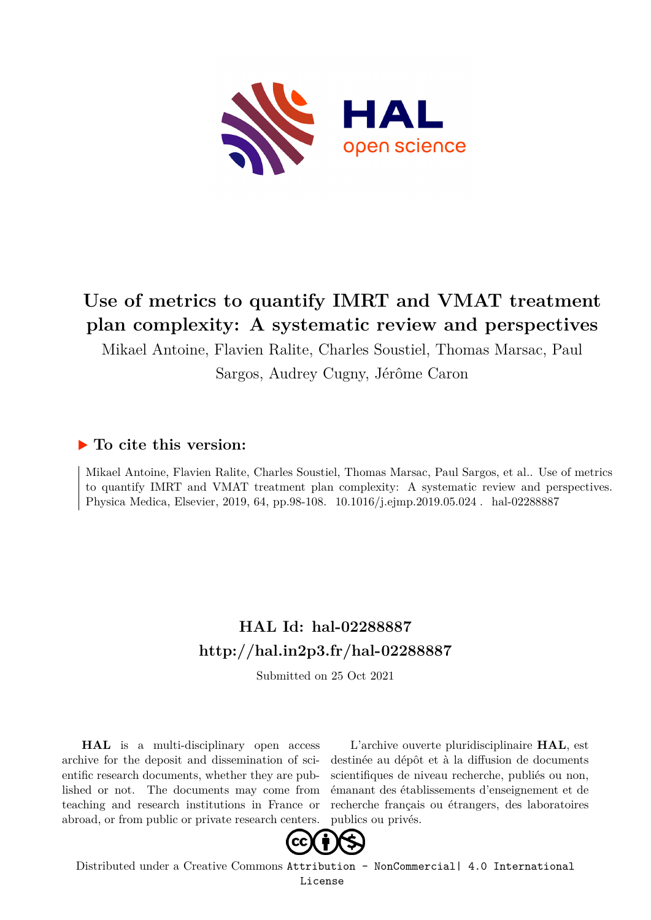

## **Use of metrics to quantify IMRT and VMAT treatment plan complexity: A systematic review and perspectives**

Mikael Antoine, Flavien Ralite, Charles Soustiel, Thomas Marsac, Paul

Sargos, Audrey Cugny, Jérôme Caron

### **To cite this version:**

Mikael Antoine, Flavien Ralite, Charles Soustiel, Thomas Marsac, Paul Sargos, et al.. Use of metrics to quantify IMRT and VMAT treatment plan complexity: A systematic review and perspectives. Physica Medica, Elsevier, 2019, 64, pp.98-108. 10.1016/j.ejmp.2019.05.024 hal-02288887

## **HAL Id: hal-02288887 <http://hal.in2p3.fr/hal-02288887>**

Submitted on 25 Oct 2021

**HAL** is a multi-disciplinary open access archive for the deposit and dissemination of scientific research documents, whether they are published or not. The documents may come from teaching and research institutions in France or abroad, or from public or private research centers.

L'archive ouverte pluridisciplinaire **HAL**, est destinée au dépôt et à la diffusion de documents scientifiques de niveau recherche, publiés ou non, émanant des établissements d'enseignement et de recherche français ou étrangers, des laboratoires publics ou privés.



Distributed under a Creative Commons [Attribution - NonCommercial| 4.0 International](http://creativecommons.org/licenses/by-nc/4.0/) [License](http://creativecommons.org/licenses/by-nc/4.0/)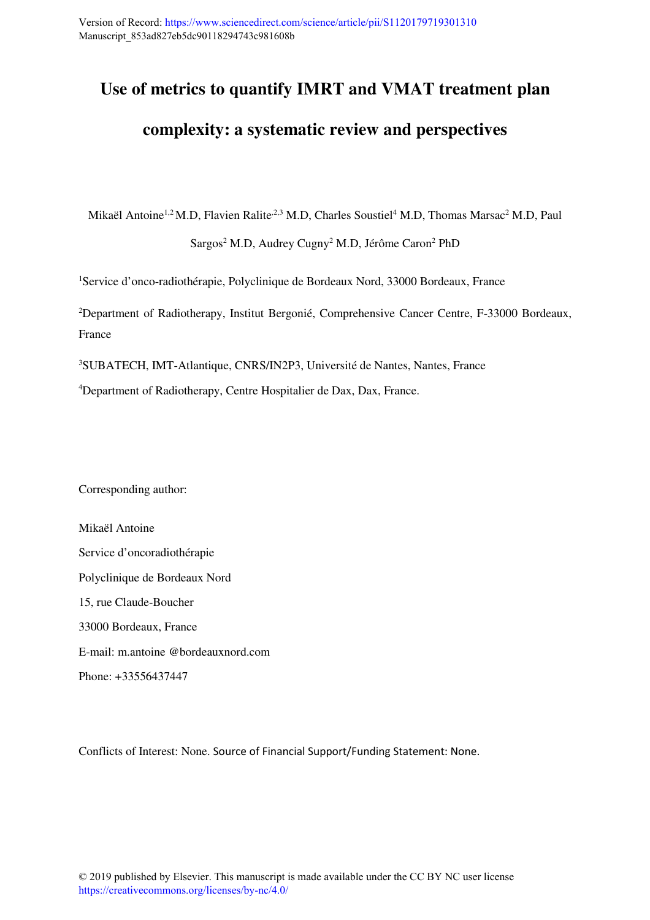# **Use of metrics to quantify IMRT and VMAT treatment plan complexity: a systematic review and perspectives**

Mikaël Antoine<sup>1,2</sup> M.D, Flavien Ralite<sup>2,3</sup> M.D, Charles Soustiel<sup>4</sup> M.D, Thomas Marsac<sup>2</sup> M.D, Paul

Sargos<sup>2</sup> M.D, Audrey Cugny<sup>2</sup> M.D, Jérôme Caron<sup>2</sup> PhD

<sup>1</sup>Service d'onco-radiothérapie, Polyclinique de Bordeaux Nord, 33000 Bordeaux, France

<sup>2</sup>Department of Radiotherapy, Institut Bergonié, Comprehensive Cancer Centre, F-33000 Bordeaux, France

<sup>3</sup>SUBATECH, IMT-Atlantique, CNRS/IN2P3, Université de Nantes, Nantes, France <sup>4</sup>Department of Radiotherapy, Centre Hospitalier de Dax, Dax, France.

Corresponding author:

Mikaël Antoine Service d'oncoradiothérapie Polyclinique de Bordeaux Nord 15, rue Claude-Boucher 33000 Bordeaux, France E-mail: m.antoine @bordeauxnord.com Phone: +33556437447

Conflicts of Interest: None. Source of Financial Support/Funding Statement: None.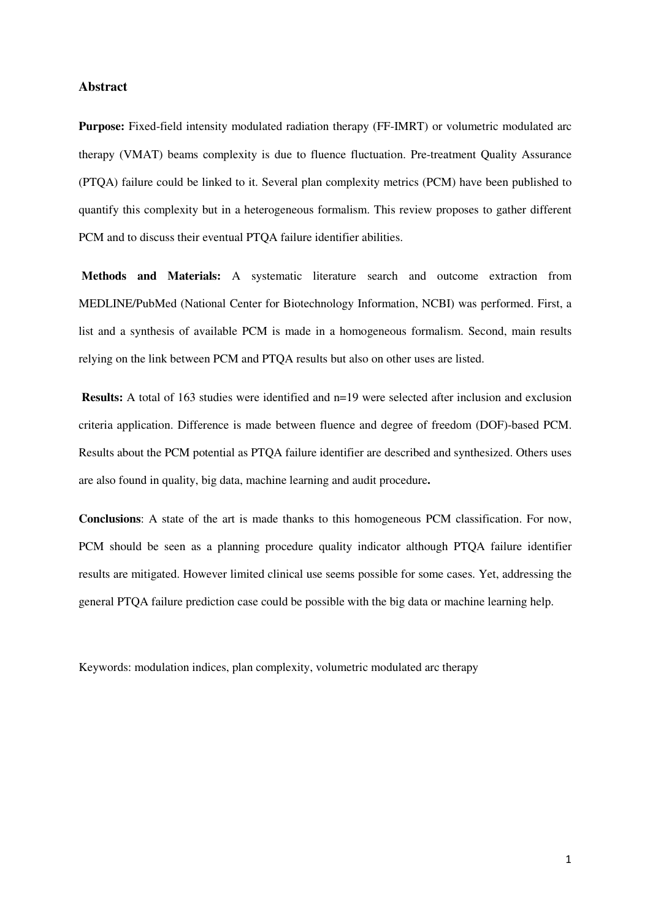#### **Abstract**

**Purpose:** Fixed-field intensity modulated radiation therapy (FF-IMRT) or volumetric modulated arc therapy (VMAT) beams complexity is due to fluence fluctuation. Pre-treatment Quality Assurance (PTQA) failure could be linked to it. Several plan complexity metrics (PCM) have been published to quantify this complexity but in a heterogeneous formalism. This review proposes to gather different PCM and to discuss their eventual PTQA failure identifier abilities.

**Methods and Materials:** A systematic literature search and outcome extraction from MEDLINE/PubMed (National Center for Biotechnology Information, NCBI) was performed. First, a list and a synthesis of available PCM is made in a homogeneous formalism. Second, main results relying on the link between PCM and PTQA results but also on other uses are listed.

**Results:** A total of 163 studies were identified and n=19 were selected after inclusion and exclusion criteria application. Difference is made between fluence and degree of freedom (DOF)-based PCM. Results about the PCM potential as PTQA failure identifier are described and synthesized. Others uses are also found in quality, big data, machine learning and audit procedure**.**

**Conclusions**: A state of the art is made thanks to this homogeneous PCM classification. For now, PCM should be seen as a planning procedure quality indicator although PTQA failure identifier results are mitigated. However limited clinical use seems possible for some cases. Yet, addressing the general PTQA failure prediction case could be possible with the big data or machine learning help.

Keywords: modulation indices, plan complexity, volumetric modulated arc therapy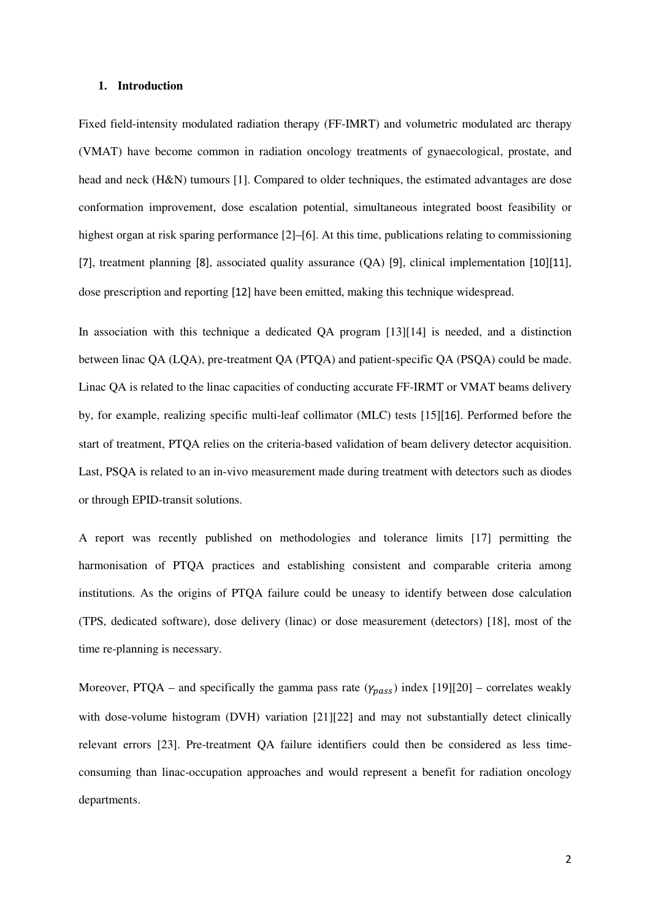#### **1. Introduction**

Fixed field-intensity modulated radiation therapy (FF-IMRT) and volumetric modulated arc therapy (VMAT) have become common in radiation oncology treatments of gynaecological, prostate, and head and neck (H&N) tumours [1]. Compared to older techniques, the estimated advantages are dose conformation improvement, dose escalation potential, simultaneous integrated boost feasibility or highest organ at risk sparing performance [2]–[6]. At this time, publications relating to commissioning [7], treatment planning [8], associated quality assurance (QA) [9], clinical implementation [10][11], dose prescription and reporting [12] have been emitted, making this technique widespread.

In association with this technique a dedicated QA program [13][14] is needed, and a distinction between linac QA (LQA), pre-treatment QA (PTQA) and patient-specific QA (PSQA) could be made. Linac QA is related to the linac capacities of conducting accurate FF-IRMT or VMAT beams delivery by, for example, realizing specific multi-leaf collimator (MLC) tests [15][16]. Performed before the start of treatment, PTQA relies on the criteria-based validation of beam delivery detector acquisition. Last, PSQA is related to an in-vivo measurement made during treatment with detectors such as diodes or through EPID-transit solutions.

A report was recently published on methodologies and tolerance limits [17] permitting the harmonisation of PTQA practices and establishing consistent and comparable criteria among institutions. As the origins of PTQA failure could be uneasy to identify between dose calculation (TPS, dedicated software), dose delivery (linac) or dose measurement (detectors) [18], most of the time re-planning is necessary.

Moreover, PTQA – and specifically the gamma pass rate  $(\gamma_{pass})$  index [19][20] – correlates weakly with dose-volume histogram (DVH) variation [21][22] and may not substantially detect clinically relevant errors [23]. Pre-treatment QA failure identifiers could then be considered as less timeconsuming than linac-occupation approaches and would represent a benefit for radiation oncology departments.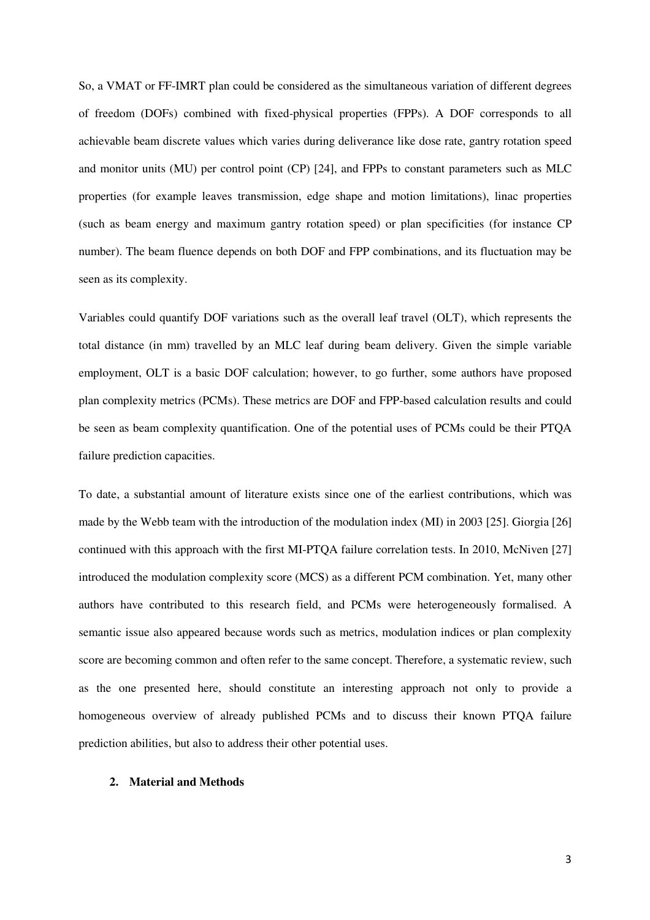So, a VMAT or FF-IMRT plan could be considered as the simultaneous variation of different degrees of freedom (DOFs) combined with fixed-physical properties (FPPs). A DOF corresponds to all achievable beam discrete values which varies during deliverance like dose rate, gantry rotation speed and monitor units (MU) per control point (CP) [24], and FPPs to constant parameters such as MLC properties (for example leaves transmission, edge shape and motion limitations), linac properties (such as beam energy and maximum gantry rotation speed) or plan specificities (for instance CP number). The beam fluence depends on both DOF and FPP combinations, and its fluctuation may be seen as its complexity.

Variables could quantify DOF variations such as the overall leaf travel (OLT), which represents the total distance (in mm) travelled by an MLC leaf during beam delivery. Given the simple variable employment, OLT is a basic DOF calculation; however, to go further, some authors have proposed plan complexity metrics (PCMs). These metrics are DOF and FPP-based calculation results and could be seen as beam complexity quantification. One of the potential uses of PCMs could be their PTQA failure prediction capacities.

To date, a substantial amount of literature exists since one of the earliest contributions, which was made by the Webb team with the introduction of the modulation index (MI) in 2003 [25]. Giorgia [26] continued with this approach with the first MI-PTQA failure correlation tests. In 2010, McNiven [27] introduced the modulation complexity score (MCS) as a different PCM combination. Yet, many other authors have contributed to this research field, and PCMs were heterogeneously formalised. A semantic issue also appeared because words such as metrics, modulation indices or plan complexity score are becoming common and often refer to the same concept. Therefore, a systematic review, such as the one presented here, should constitute an interesting approach not only to provide a homogeneous overview of already published PCMs and to discuss their known PTQA failure prediction abilities, but also to address their other potential uses.

#### **2. Material and Methods**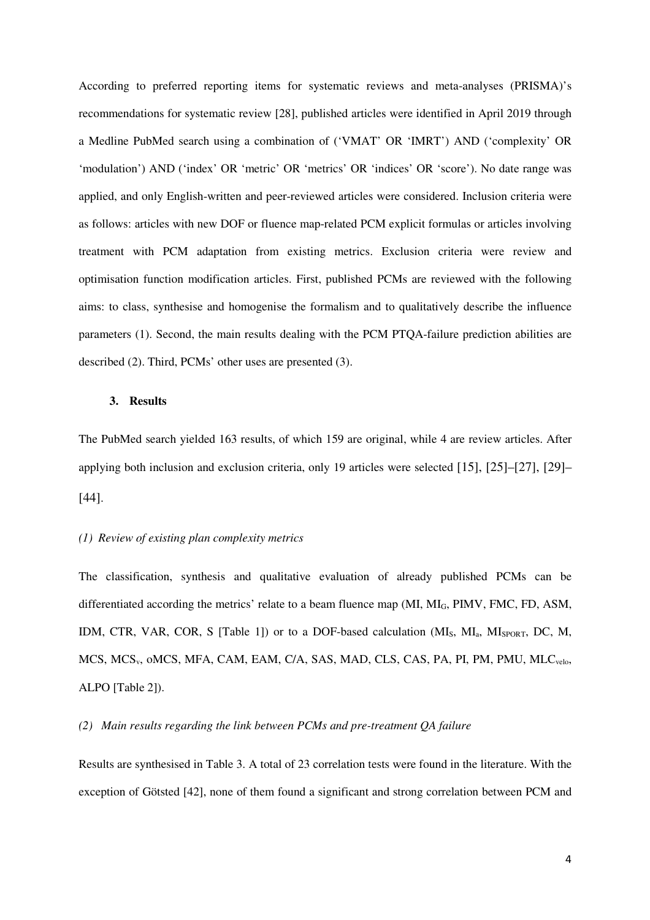According to preferred reporting items for systematic reviews and meta-analyses (PRISMA)'s recommendations for systematic review [28], published articles were identified in April 2019 through a Medline PubMed search using a combination of ('VMAT' OR 'IMRT') AND ('complexity' OR 'modulation') AND ('index' OR 'metric' OR 'metrics' OR 'indices' OR 'score'). No date range was applied, and only English-written and peer-reviewed articles were considered. Inclusion criteria were as follows: articles with new DOF or fluence map-related PCM explicit formulas or articles involving treatment with PCM adaptation from existing metrics. Exclusion criteria were review and optimisation function modification articles. First, published PCMs are reviewed with the following aims: to class, synthesise and homogenise the formalism and to qualitatively describe the influence parameters (1). Second, the main results dealing with the PCM PTQA-failure prediction abilities are described (2). Third, PCMs' other uses are presented (3).

#### **3. Results**

The PubMed search yielded 163 results, of which 159 are original, while 4 are review articles. After applying both inclusion and exclusion criteria, only 19 articles were selected [15], [25]–[27], [29]– [44].

#### *(1) Review of existing plan complexity metrics*

The classification, synthesis and qualitative evaluation of already published PCMs can be differentiated according the metrics' relate to a beam fluence map (MI, MIG, PIMV, FMC, FD, ASM, IDM, CTR, VAR, COR, S [Table 1]) or to a DOF-based calculation (MI<sub>S</sub>, MI<sub>3</sub>, MI<sub>SPORT</sub>, DC, M, MCS, MCS<sub>v</sub>, oMCS, MFA, CAM, EAM, C/A, SAS, MAD, CLS, CAS, PA, PI, PM, PMU, MLC<sub>velo</sub>, ALPO [Table 2]).

*(2) Main results regarding the link between PCMs and pre-treatment QA failure* 

Results are synthesised in Table 3. A total of 23 correlation tests were found in the literature. With the exception of Götsted [42], none of them found a significant and strong correlation between PCM and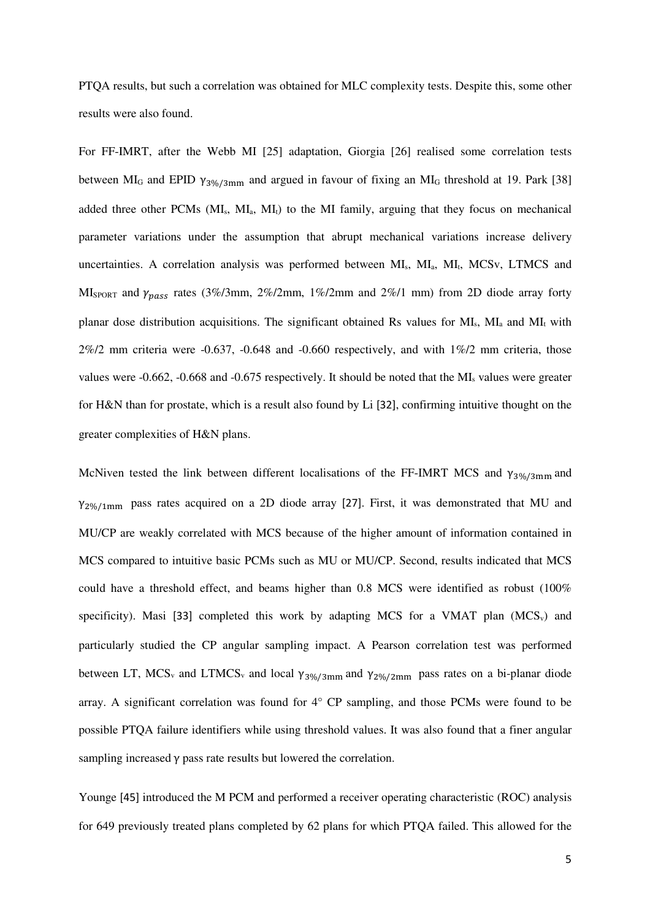PTQA results, but such a correlation was obtained for MLC complexity tests. Despite this, some other results were also found.

For FF-IMRT, after the Webb MI [25] adaptation, Giorgia [26] realised some correlation tests between MI<sub>G</sub> and EPID  $\gamma_{3\%/3mm}$  and argued in favour of fixing an MI<sub>G</sub> threshold at 19. Park [38] added three other PCMs  $(MI_s, MI_a, MI_t)$  to the MI family, arguing that they focus on mechanical parameter variations under the assumption that abrupt mechanical variations increase delivery uncertainties. A correlation analysis was performed between  $MI_s$ ,  $MI_s$ ,  $MI_t$ ,  $MCS$ v, LTMCS and  $M_{\text{SPORT}}$  and  $\gamma_{pass}$  rates (3%/3mm, 2%/2mm, 1%/2mm and 2%/1 mm) from 2D diode array forty planar dose distribution acquisitions. The significant obtained Rs values for  $M<sub>1s</sub>$ ,  $M<sub>1a</sub>$  and  $M<sub>1t</sub>$  with  $2\%/2$  mm criteria were  $-0.637$ ,  $-0.648$  and  $-0.660$  respectively, and with  $1\%/2$  mm criteria, those values were -0.662, -0.668 and -0.675 respectively. It should be noted that the MIs values were greater for H&N than for prostate, which is a result also found by Li [32], confirming intuitive thought on the greater complexities of H&N plans.

McNiven tested the link between different localisations of the FF-IMRT MCS and  $\gamma_{3\%/3mm}$  and  $\gamma_{2\%/1mm}$  pass rates acquired on a 2D diode array [27]. First, it was demonstrated that MU and MU/CP are weakly correlated with MCS because of the higher amount of information contained in MCS compared to intuitive basic PCMs such as MU or MU/CP. Second, results indicated that MCS could have a threshold effect, and beams higher than 0.8 MCS were identified as robust (100% specificity). Masi [33] completed this work by adapting MCS for a VMAT plan  $(MCS<sub>v</sub>)$  and particularly studied the CP angular sampling impact. A Pearson correlation test was performed between LT, MCS<sub>v</sub> and LTMCS<sub>v</sub> and local  $\gamma_{3\%/3mm}$  and  $\gamma_{2\%/2mm}$  pass rates on a bi-planar diode array. A significant correlation was found for 4° CP sampling, and those PCMs were found to be possible PTQA failure identifiers while using threshold values. It was also found that a finer angular sampling increased γ pass rate results but lowered the correlation.

Younge [45] introduced the M PCM and performed a receiver operating characteristic (ROC) analysis for 649 previously treated plans completed by 62 plans for which PTQA failed. This allowed for the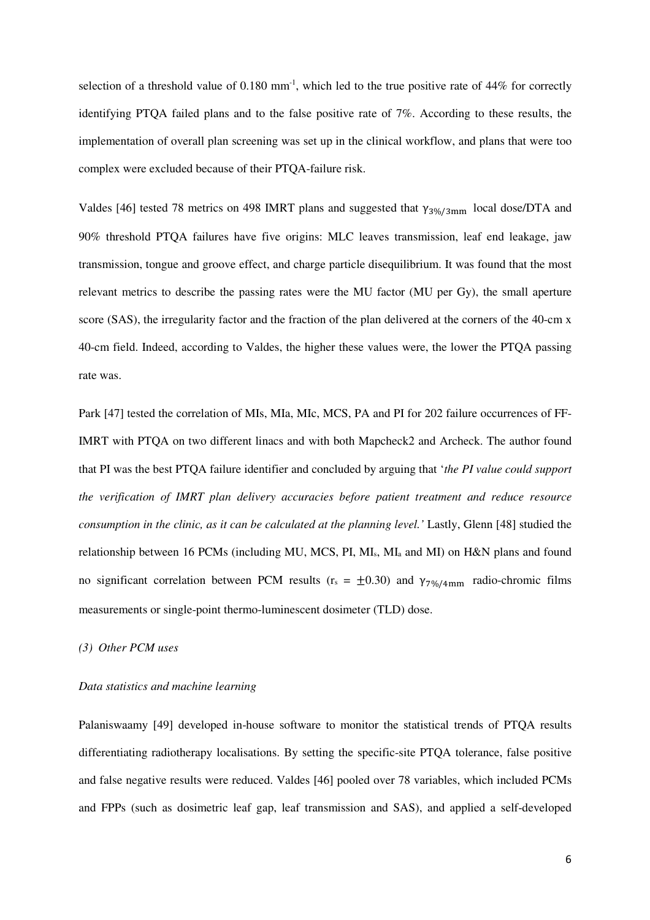selection of a threshold value of  $0.180 \text{ mm}^{-1}$ , which led to the true positive rate of 44% for correctly identifying PTQA failed plans and to the false positive rate of 7%. According to these results, the implementation of overall plan screening was set up in the clinical workflow, and plans that were too complex were excluded because of their PTQA-failure risk.

Valdes [46] tested 78 metrics on 498 IMRT plans and suggested that  $\gamma_{3\%/3mm}$  local dose/DTA and 90% threshold PTQA failures have five origins: MLC leaves transmission, leaf end leakage, jaw transmission, tongue and groove effect, and charge particle disequilibrium. It was found that the most relevant metrics to describe the passing rates were the MU factor (MU per Gy), the small aperture score (SAS), the irregularity factor and the fraction of the plan delivered at the corners of the 40-cm x 40-cm field. Indeed, according to Valdes, the higher these values were, the lower the PTQA passing rate was.

Park [47] tested the correlation of MIs, MIa, MIc, MCS, PA and PI for 202 failure occurrences of FF-IMRT with PTQA on two different linacs and with both Mapcheck2 and Archeck. The author found that PI was the best PTQA failure identifier and concluded by arguing that '*the PI value could support the verification of IMRT plan delivery accuracies before patient treatment and reduce resource consumption in the clinic, as it can be calculated at the planning level.'* Lastly, Glenn [48] studied the relationship between 16 PCMs (including MU, MCS, PI, MIs, MIa and MI) on H&N plans and found no significant correlation between PCM results (r<sub>s</sub> =  $\pm$ 0.30) and γ<sub>7%/4mm</sub> radio-chromic films measurements or single-point thermo-luminescent dosimeter (TLD) dose.

#### *(3) Other PCM uses*

#### *Data statistics and machine learning*

Palaniswaamy [49] developed in-house software to monitor the statistical trends of PTQA results differentiating radiotherapy localisations. By setting the specific-site PTQA tolerance, false positive and false negative results were reduced. Valdes [46] pooled over 78 variables, which included PCMs and FPPs (such as dosimetric leaf gap, leaf transmission and SAS), and applied a self-developed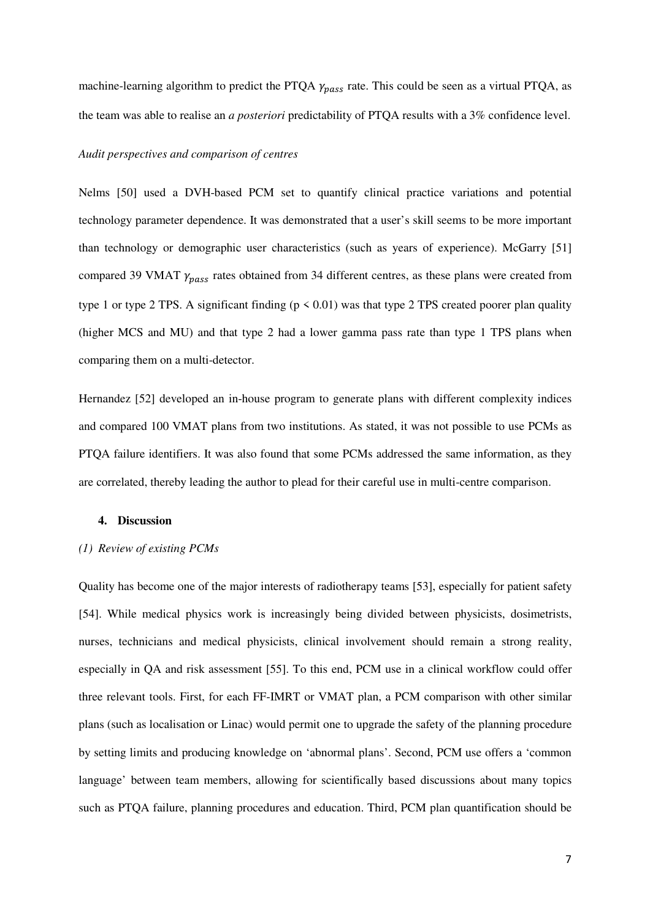machine-learning algorithm to predict the PTQA  $\gamma_{pass}$  rate. This could be seen as a virtual PTQA, as the team was able to realise an *a posteriori* predictability of PTQA results with a 3% confidence level.

#### *Audit perspectives and comparison of centres*

Nelms [50] used a DVH-based PCM set to quantify clinical practice variations and potential technology parameter dependence. It was demonstrated that a user's skill seems to be more important than technology or demographic user characteristics (such as years of experience). McGarry [51] compared 39 VMAT  $\gamma_{pass}$  rates obtained from 34 different centres, as these plans were created from type 1 or type 2 TPS. A significant finding ( $p \le 0.01$ ) was that type 2 TPS created poorer plan quality (higher MCS and MU) and that type 2 had a lower gamma pass rate than type 1 TPS plans when comparing them on a multi-detector.

Hernandez [52] developed an in-house program to generate plans with different complexity indices and compared 100 VMAT plans from two institutions. As stated, it was not possible to use PCMs as PTQA failure identifiers. It was also found that some PCMs addressed the same information, as they are correlated, thereby leading the author to plead for their careful use in multi-centre comparison.

#### **4. Discussion**

#### *(1) Review of existing PCMs*

Quality has become one of the major interests of radiotherapy teams [53], especially for patient safety [54]. While medical physics work is increasingly being divided between physicists, dosimetrists, nurses, technicians and medical physicists, clinical involvement should remain a strong reality, especially in QA and risk assessment [55]. To this end, PCM use in a clinical workflow could offer three relevant tools. First, for each FF-IMRT or VMAT plan, a PCM comparison with other similar plans (such as localisation or Linac) would permit one to upgrade the safety of the planning procedure by setting limits and producing knowledge on 'abnormal plans'. Second, PCM use offers a 'common language' between team members, allowing for scientifically based discussions about many topics such as PTQA failure, planning procedures and education. Third, PCM plan quantification should be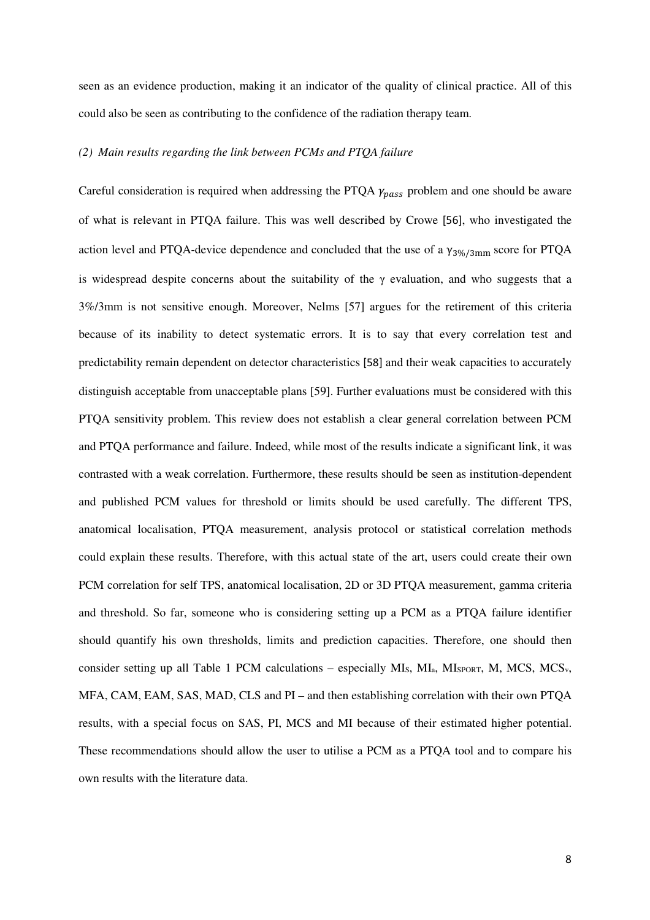seen as an evidence production, making it an indicator of the quality of clinical practice. All of this could also be seen as contributing to the confidence of the radiation therapy team.

#### *(2) Main results regarding the link between PCMs and PTQA failure*

Careful consideration is required when addressing the PTQA  $\gamma_{pass}$  problem and one should be aware of what is relevant in PTQA failure. This was well described by Crowe [56], who investigated the action level and PTQA-device dependence and concluded that the use of a  $\gamma_{3\%/3\text{mm}}$  score for PTQA is widespread despite concerns about the suitability of the  $\gamma$  evaluation, and who suggests that a 3%/3mm is not sensitive enough. Moreover, Nelms [57] argues for the retirement of this criteria because of its inability to detect systematic errors. It is to say that every correlation test and predictability remain dependent on detector characteristics [58] and their weak capacities to accurately distinguish acceptable from unacceptable plans [59]. Further evaluations must be considered with this PTQA sensitivity problem. This review does not establish a clear general correlation between PCM and PTQA performance and failure. Indeed, while most of the results indicate a significant link, it was contrasted with a weak correlation. Furthermore, these results should be seen as institution-dependent and published PCM values for threshold or limits should be used carefully. The different TPS, anatomical localisation, PTQA measurement, analysis protocol or statistical correlation methods could explain these results. Therefore, with this actual state of the art, users could create their own PCM correlation for self TPS, anatomical localisation, 2D or 3D PTQA measurement, gamma criteria and threshold. So far, someone who is considering setting up a PCM as a PTQA failure identifier should quantify his own thresholds, limits and prediction capacities. Therefore, one should then consider setting up all Table 1 PCM calculations – especially  $MI_s$ ,  $MI_s$ ,  $MI_{SPORT}$ ,  $M$ ,  $MCS$ ,  $MCS$ <sub>v</sub>, MFA, CAM, EAM, SAS, MAD, CLS and PI – and then establishing correlation with their own PTQA results, with a special focus on SAS, PI, MCS and MI because of their estimated higher potential. These recommendations should allow the user to utilise a PCM as a PTQA tool and to compare his own results with the literature data.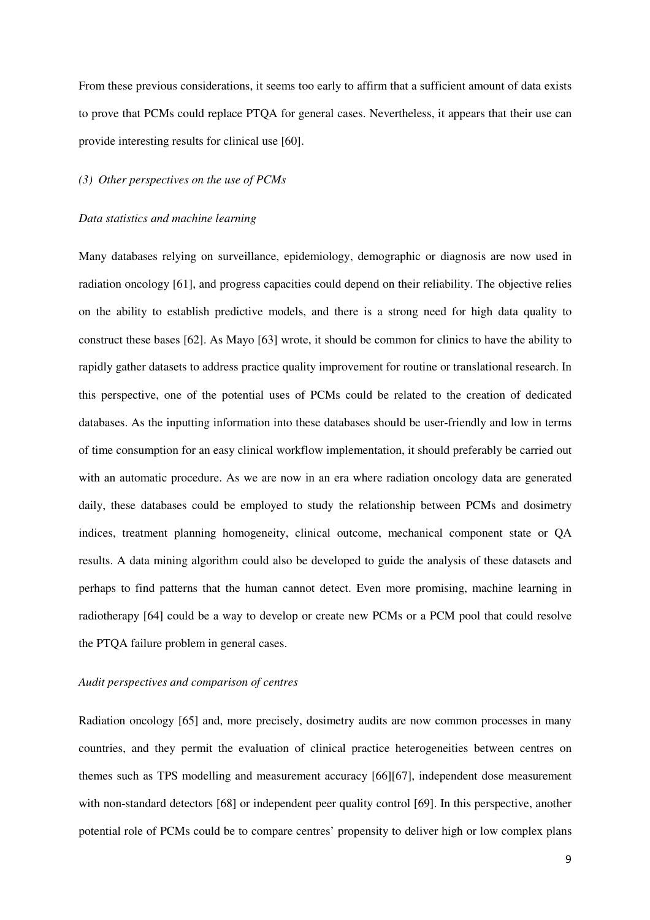From these previous considerations, it seems too early to affirm that a sufficient amount of data exists to prove that PCMs could replace PTQA for general cases. Nevertheless, it appears that their use can provide interesting results for clinical use [60].

#### *(3) Other perspectives on the use of PCMs*

#### *Data statistics and machine learning*

Many databases relying on surveillance, epidemiology, demographic or diagnosis are now used in radiation oncology [61], and progress capacities could depend on their reliability. The objective relies on the ability to establish predictive models, and there is a strong need for high data quality to construct these bases [62]. As Mayo [63] wrote, it should be common for clinics to have the ability to rapidly gather datasets to address practice quality improvement for routine or translational research. In this perspective, one of the potential uses of PCMs could be related to the creation of dedicated databases. As the inputting information into these databases should be user-friendly and low in terms of time consumption for an easy clinical workflow implementation, it should preferably be carried out with an automatic procedure. As we are now in an era where radiation oncology data are generated daily, these databases could be employed to study the relationship between PCMs and dosimetry indices, treatment planning homogeneity, clinical outcome, mechanical component state or QA results. A data mining algorithm could also be developed to guide the analysis of these datasets and perhaps to find patterns that the human cannot detect. Even more promising, machine learning in radiotherapy [64] could be a way to develop or create new PCMs or a PCM pool that could resolve the PTQA failure problem in general cases.

#### *Audit perspectives and comparison of centres*

Radiation oncology [65] and, more precisely, dosimetry audits are now common processes in many countries, and they permit the evaluation of clinical practice heterogeneities between centres on themes such as TPS modelling and measurement accuracy [66][67], independent dose measurement with non-standard detectors [68] or independent peer quality control [69]. In this perspective, another potential role of PCMs could be to compare centres' propensity to deliver high or low complex plans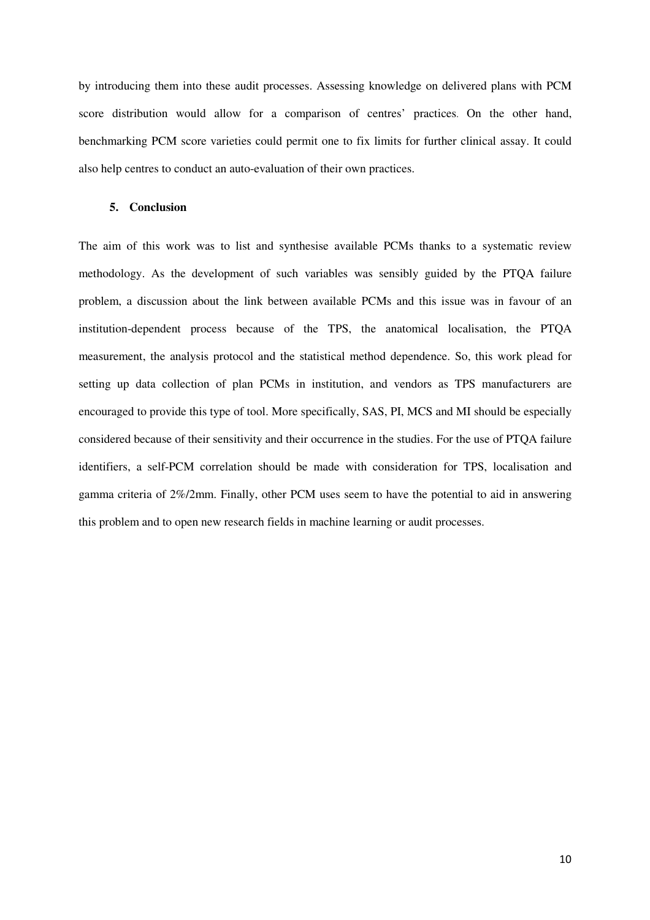by introducing them into these audit processes. Assessing knowledge on delivered plans with PCM score distribution would allow for a comparison of centres' practices. On the other hand, benchmarking PCM score varieties could permit one to fix limits for further clinical assay. It could also help centres to conduct an auto-evaluation of their own practices.

#### **5. Conclusion**

The aim of this work was to list and synthesise available PCMs thanks to a systematic review methodology. As the development of such variables was sensibly guided by the PTQA failure problem, a discussion about the link between available PCMs and this issue was in favour of an institution-dependent process because of the TPS, the anatomical localisation, the PTQA measurement, the analysis protocol and the statistical method dependence. So, this work plead for setting up data collection of plan PCMs in institution, and vendors as TPS manufacturers are encouraged to provide this type of tool. More specifically, SAS, PI, MCS and MI should be especially considered because of their sensitivity and their occurrence in the studies. For the use of PTQA failure identifiers, a self-PCM correlation should be made with consideration for TPS, localisation and gamma criteria of 2%/2mm. Finally, other PCM uses seem to have the potential to aid in answering this problem and to open new research fields in machine learning or audit processes.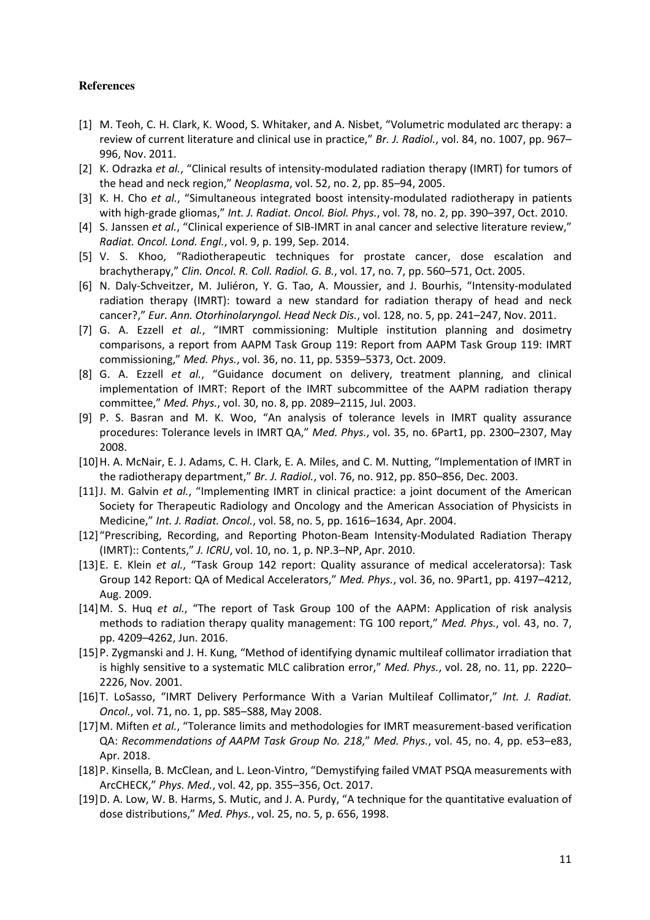#### **References**

- [1] M. Teoh, C. H. Clark, K. Wood, S. Whitaker, and A. Nisbet, "Volumetric modulated arc therapy: a review of current literature and clinical use in practice," *Br. J. Radiol.*, vol. 84, no. 1007, pp. 967– 996, Nov. 2011.
- [2] K. Odrazka *et al.*, "Clinical results of intensity-modulated radiation therapy (IMRT) for tumors of the head and neck region," *Neoplasma*, vol. 52, no. 2, pp. 85–94, 2005.
- [3] K. H. Cho *et al.*, "Simultaneous integrated boost intensity-modulated radiotherapy in patients with high-grade gliomas," *Int. J. Radiat. Oncol. Biol. Phys.*, vol. 78, no. 2, pp. 390–397, Oct. 2010.
- [4] S. Janssen *et al.*, "Clinical experience of SIB-IMRT in anal cancer and selective literature review," *Radiat. Oncol. Lond. Engl.*, vol. 9, p. 199, Sep. 2014.
- [5] V. S. Khoo, "Radiotherapeutic techniques for prostate cancer, dose escalation and brachytherapy," *Clin. Oncol. R. Coll. Radiol. G. B.*, vol. 17, no. 7, pp. 560–571, Oct. 2005.
- [6] N. Daly-Schveitzer, M. Juliéron, Y. G. Tao, A. Moussier, and J. Bourhis, "Intensity-modulated radiation therapy (IMRT): toward a new standard for radiation therapy of head and neck cancer?," *Eur. Ann. Otorhinolaryngol. Head Neck Dis.*, vol. 128, no. 5, pp. 241–247, Nov. 2011.
- [7] G. A. Ezzell *et al.*, "IMRT commissioning: Multiple institution planning and dosimetry comparisons, a report from AAPM Task Group 119: Report from AAPM Task Group 119: IMRT commissioning," *Med. Phys.*, vol. 36, no. 11, pp. 5359–5373, Oct. 2009.
- [8] G. A. Ezzell *et al.*, "Guidance document on delivery, treatment planning, and clinical implementation of IMRT: Report of the IMRT subcommittee of the AAPM radiation therapy committee," *Med. Phys.*, vol. 30, no. 8, pp. 2089–2115, Jul. 2003.
- [9] P. S. Basran and M. K. Woo, "An analysis of tolerance levels in IMRT quality assurance procedures: Tolerance levels in IMRT QA," *Med. Phys.*, vol. 35, no. 6Part1, pp. 2300–2307, May 2008.
- [10] H. A. McNair, E. J. Adams, C. H. Clark, E. A. Miles, and C. M. Nutting, "Implementation of IMRT in the radiotherapy department," *Br. J. Radiol.*, vol. 76, no. 912, pp. 850–856, Dec. 2003.
- [11] J. M. Galvin *et al.*, "Implementing IMRT in clinical practice: a joint document of the American Society for Therapeutic Radiology and Oncology and the American Association of Physicists in Medicine," *Int. J. Radiat. Oncol.*, vol. 58, no. 5, pp. 1616–1634, Apr. 2004.
- [12] "Prescribing, Recording, and Reporting Photon-Beam Intensity-Modulated Radiation Therapy (IMRT):: Contents," *J. ICRU*, vol. 10, no. 1, p. NP.3–NP, Apr. 2010.
- [13] E. E. Klein *et al.*, "Task Group 142 report: Quality assurance of medical acceleratorsa): Task Group 142 Report: QA of Medical Accelerators," *Med. Phys.*, vol. 36, no. 9Part1, pp. 4197–4212, Aug. 2009.
- [14] M. S. Huq *et al.*, "The report of Task Group 100 of the AAPM: Application of risk analysis methods to radiation therapy quality management: TG 100 report," *Med. Phys.*, vol. 43, no. 7, pp. 4209–4262, Jun. 2016.
- [15] P. Zygmanski and J. H. Kung, "Method of identifying dynamic multileaf collimator irradiation that is highly sensitive to a systematic MLC calibration error," *Med. Phys.*, vol. 28, no. 11, pp. 2220– 2226, Nov. 2001.
- [16] T. LoSasso, "IMRT Delivery Performance With a Varian Multileaf Collimator," *Int. J. Radiat. Oncol.*, vol. 71, no. 1, pp. S85–S88, May 2008.
- [17] M. Miften *et al.*, "Tolerance limits and methodologies for IMRT measurement-based verification QA: *Recommendations of AAPM Task Group No. 218*," *Med. Phys.*, vol. 45, no. 4, pp. e53–e83, Apr. 2018.
- [18] P. Kinsella, B. McClean, and L. Leon-Vintro, "Demystifying failed VMAT PSQA measurements with ArcCHECK," *Phys. Med.*, vol. 42, pp. 355–356, Oct. 2017.
- [19] D. A. Low, W. B. Harms, S. Mutic, and J. A. Purdy, "A technique for the quantitative evaluation of dose distributions," *Med. Phys.*, vol. 25, no. 5, p. 656, 1998.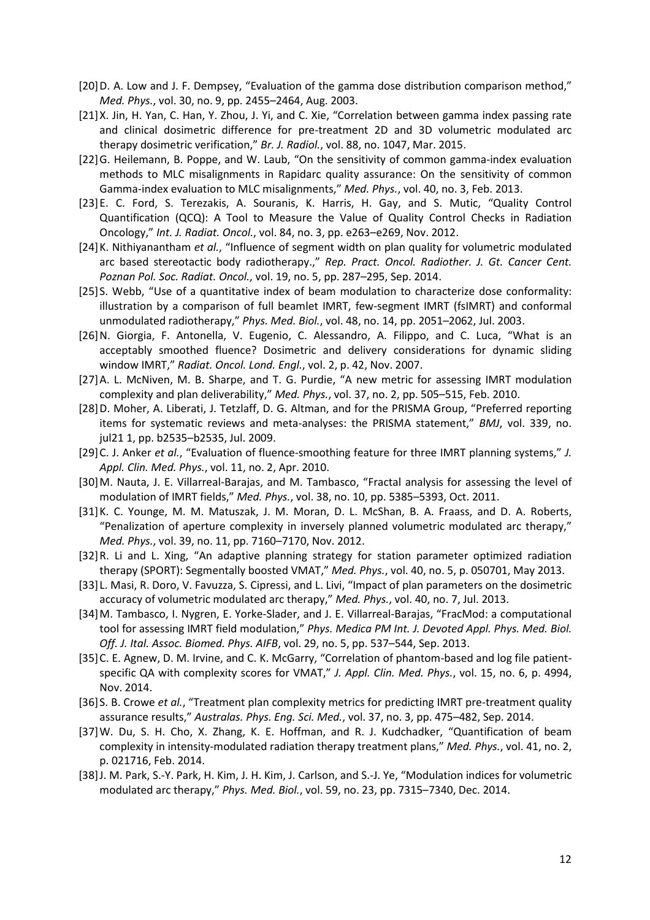- [20] D. A. Low and J. F. Dempsey, "Evaluation of the gamma dose distribution comparison method," *Med. Phys.*, vol. 30, no. 9, pp. 2455–2464, Aug. 2003.
- [21] X. Jin, H. Yan, C. Han, Y. Zhou, J. Yi, and C. Xie, "Correlation between gamma index passing rate and clinical dosimetric difference for pre-treatment 2D and 3D volumetric modulated arc therapy dosimetric verification," *Br. J. Radiol.*, vol. 88, no. 1047, Mar. 2015.
- [22] G. Heilemann, B. Poppe, and W. Laub, "On the sensitivity of common gamma-index evaluation methods to MLC misalignments in Rapidarc quality assurance: On the sensitivity of common Gamma-index evaluation to MLC misalignments," *Med. Phys.*, vol. 40, no. 3, Feb. 2013.
- [23] E. C. Ford, S. Terezakis, A. Souranis, K. Harris, H. Gay, and S. Mutic, "Quality Control Quantification (QCQ): A Tool to Measure the Value of Quality Control Checks in Radiation Oncology," *Int. J. Radiat. Oncol.*, vol. 84, no. 3, pp. e263–e269, Nov. 2012.
- [24] K. Nithiyanantham *et al.*, "Influence of segment width on plan quality for volumetric modulated arc based stereotactic body radiotherapy.," *Rep. Pract. Oncol. Radiother. J. Gt. Cancer Cent. Poznan Pol. Soc. Radiat. Oncol.*, vol. 19, no. 5, pp. 287–295, Sep. 2014.
- [25] S. Webb, "Use of a quantitative index of beam modulation to characterize dose conformality: illustration by a comparison of full beamlet IMRT, few-segment IMRT (fsIMRT) and conformal unmodulated radiotherapy," *Phys. Med. Biol.*, vol. 48, no. 14, pp. 2051–2062, Jul. 2003.
- [26] N. Giorgia, F. Antonella, V. Eugenio, C. Alessandro, A. Filippo, and C. Luca, "What is an acceptably smoothed fluence? Dosimetric and delivery considerations for dynamic sliding window IMRT," *Radiat. Oncol. Lond. Engl.*, vol. 2, p. 42, Nov. 2007.
- [27] A. L. McNiven, M. B. Sharpe, and T. G. Purdie, "A new metric for assessing IMRT modulation complexity and plan deliverability," *Med. Phys.*, vol. 37, no. 2, pp. 505–515, Feb. 2010.
- [28] D. Moher, A. Liberati, J. Tetzlaff, D. G. Altman, and for the PRISMA Group, "Preferred reporting items for systematic reviews and meta-analyses: the PRISMA statement," *BMJ*, vol. 339, no. jul21 1, pp. b2535–b2535, Jul. 2009.
- [29] C. J. Anker *et al.*, "Evaluation of fluence-smoothing feature for three IMRT planning systems," *J. Appl. Clin. Med. Phys.*, vol. 11, no. 2, Apr. 2010.
- [30] M. Nauta, J. E. Villarreal-Barajas, and M. Tambasco, "Fractal analysis for assessing the level of modulation of IMRT fields," *Med. Phys.*, vol. 38, no. 10, pp. 5385–5393, Oct. 2011.
- [31] K. C. Younge, M. M. Matuszak, J. M. Moran, D. L. McShan, B. A. Fraass, and D. A. Roberts, "Penalization of aperture complexity in inversely planned volumetric modulated arc therapy," *Med. Phys.*, vol. 39, no. 11, pp. 7160–7170, Nov. 2012.
- [32] R. Li and L. Xing, "An adaptive planning strategy for station parameter optimized radiation therapy (SPORT): Segmentally boosted VMAT," *Med. Phys.*, vol. 40, no. 5, p. 050701, May 2013.
- [33] L. Masi, R. Doro, V. Favuzza, S. Cipressi, and L. Livi, "Impact of plan parameters on the dosimetric accuracy of volumetric modulated arc therapy," *Med. Phys.*, vol. 40, no. 7, Jul. 2013.
- [34] M. Tambasco, I. Nygren, E. Yorke-Slader, and J. E. Villarreal-Barajas, "FracMod: a computational tool for assessing IMRT field modulation," *Phys. Medica PM Int. J. Devoted Appl. Phys. Med. Biol. Off. J. Ital. Assoc. Biomed. Phys. AIFB*, vol. 29, no. 5, pp. 537–544, Sep. 2013.
- [35] C. E. Agnew, D. M. Irvine, and C. K. McGarry, "Correlation of phantom-based and log file patientspecific QA with complexity scores for VMAT," *J. Appl. Clin. Med. Phys.*, vol. 15, no. 6, p. 4994, Nov. 2014.
- [36] S. B. Crowe *et al.*, "Treatment plan complexity metrics for predicting IMRT pre-treatment quality assurance results," *Australas. Phys. Eng. Sci. Med.*, vol. 37, no. 3, pp. 475–482, Sep. 2014.
- [37] W. Du, S. H. Cho, X. Zhang, K. E. Hoffman, and R. J. Kudchadker, "Quantification of beam complexity in intensity-modulated radiation therapy treatment plans," *Med. Phys.*, vol. 41, no. 2, p. 021716, Feb. 2014.
- [38] J. M. Park, S.-Y. Park, H. Kim, J. H. Kim, J. Carlson, and S.-J. Ye, "Modulation indices for volumetric modulated arc therapy," *Phys. Med. Biol.*, vol. 59, no. 23, pp. 7315–7340, Dec. 2014.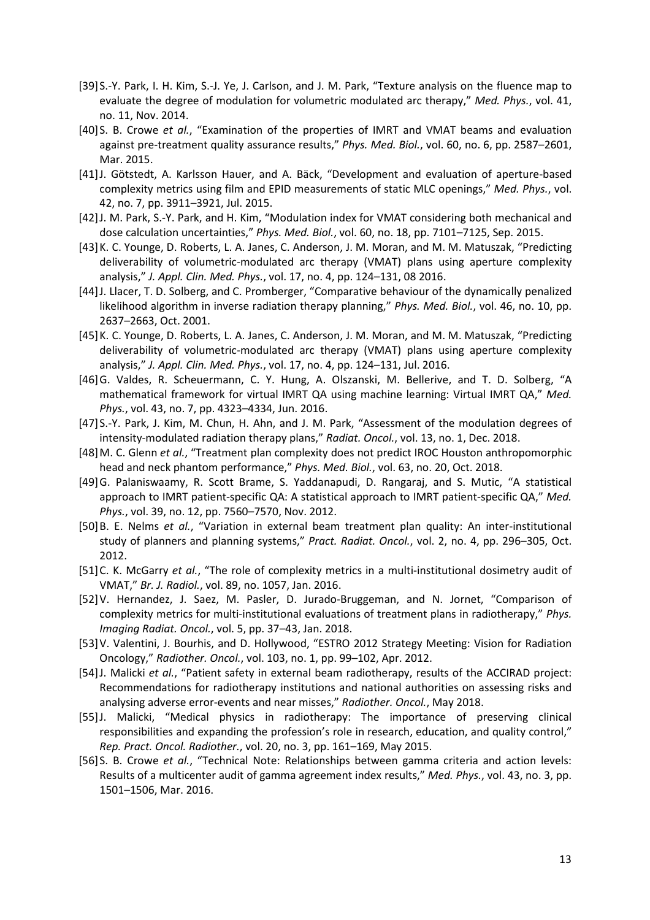- [39] S.-Y. Park, I. H. Kim, S.-J. Ye, J. Carlson, and J. M. Park, "Texture analysis on the fluence map to evaluate the degree of modulation for volumetric modulated arc therapy," *Med. Phys.*, vol. 41, no. 11, Nov. 2014.
- [40] S. B. Crowe *et al.*, "Examination of the properties of IMRT and VMAT beams and evaluation against pre-treatment quality assurance results," *Phys. Med. Biol.*, vol. 60, no. 6, pp. 2587–2601, Mar. 2015.
- [41] J. Götstedt, A. Karlsson Hauer, and A. Bäck, "Development and evaluation of aperture-based complexity metrics using film and EPID measurements of static MLC openings," *Med. Phys.*, vol. 42, no. 7, pp. 3911–3921, Jul. 2015.
- [42] J. M. Park, S.-Y. Park, and H. Kim, "Modulation index for VMAT considering both mechanical and dose calculation uncertainties," *Phys. Med. Biol.*, vol. 60, no. 18, pp. 7101–7125, Sep. 2015.
- [43] K. C. Younge, D. Roberts, L. A. Janes, C. Anderson, J. M. Moran, and M. M. Matuszak, "Predicting deliverability of volumetric-modulated arc therapy (VMAT) plans using aperture complexity analysis," *J. Appl. Clin. Med. Phys.*, vol. 17, no. 4, pp. 124–131, 08 2016.
- [44] J. Llacer, T. D. Solberg, and C. Promberger, "Comparative behaviour of the dynamically penalized likelihood algorithm in inverse radiation therapy planning," *Phys. Med. Biol.*, vol. 46, no. 10, pp. 2637–2663, Oct. 2001.
- [45] K. C. Younge, D. Roberts, L. A. Janes, C. Anderson, J. M. Moran, and M. M. Matuszak, "Predicting deliverability of volumetric-modulated arc therapy (VMAT) plans using aperture complexity analysis," *J. Appl. Clin. Med. Phys.*, vol. 17, no. 4, pp. 124–131, Jul. 2016.
- [46] G. Valdes, R. Scheuermann, C. Y. Hung, A. Olszanski, M. Bellerive, and T. D. Solberg, "A mathematical framework for virtual IMRT QA using machine learning: Virtual IMRT QA," *Med. Phys.*, vol. 43, no. 7, pp. 4323–4334, Jun. 2016.
- [47] S.-Y. Park, J. Kim, M. Chun, H. Ahn, and J. M. Park, "Assessment of the modulation degrees of intensity-modulated radiation therapy plans," *Radiat. Oncol.*, vol. 13, no. 1, Dec. 2018.
- [48] M. C. Glenn *et al.*, "Treatment plan complexity does not predict IROC Houston anthropomorphic head and neck phantom performance," *Phys. Med. Biol.*, vol. 63, no. 20, Oct. 2018.
- [49] G. Palaniswaamy, R. Scott Brame, S. Yaddanapudi, D. Rangaraj, and S. Mutic, "A statistical approach to IMRT patient-specific QA: A statistical approach to IMRT patient-specific QA," *Med. Phys.*, vol. 39, no. 12, pp. 7560–7570, Nov. 2012.
- [50] B. E. Nelms *et al.*, "Variation in external beam treatment plan quality: An inter-institutional study of planners and planning systems," *Pract. Radiat. Oncol.*, vol. 2, no. 4, pp. 296–305, Oct. 2012.
- [51] C. K. McGarry *et al.*, "The role of complexity metrics in a multi-institutional dosimetry audit of VMAT," *Br. J. Radiol.*, vol. 89, no. 1057, Jan. 2016.
- [52] V. Hernandez, J. Saez, M. Pasler, D. Jurado-Bruggeman, and N. Jornet, "Comparison of complexity metrics for multi-institutional evaluations of treatment plans in radiotherapy," *Phys. Imaging Radiat. Oncol.*, vol. 5, pp. 37–43, Jan. 2018.
- [53] V. Valentini, J. Bourhis, and D. Hollywood, "ESTRO 2012 Strategy Meeting: Vision for Radiation Oncology," *Radiother. Oncol.*, vol. 103, no. 1, pp. 99–102, Apr. 2012.
- [54] J. Malicki *et al.*, "Patient safety in external beam radiotherapy, results of the ACCIRAD project: Recommendations for radiotherapy institutions and national authorities on assessing risks and analysing adverse error-events and near misses," *Radiother. Oncol.*, May 2018.
- [55] J. Malicki, "Medical physics in radiotherapy: The importance of preserving clinical responsibilities and expanding the profession's role in research, education, and quality control," *Rep. Pract. Oncol. Radiother.*, vol. 20, no. 3, pp. 161–169, May 2015.
- [56] S. B. Crowe *et al.*, "Technical Note: Relationships between gamma criteria and action levels: Results of a multicenter audit of gamma agreement index results," *Med. Phys.*, vol. 43, no. 3, pp. 1501–1506, Mar. 2016.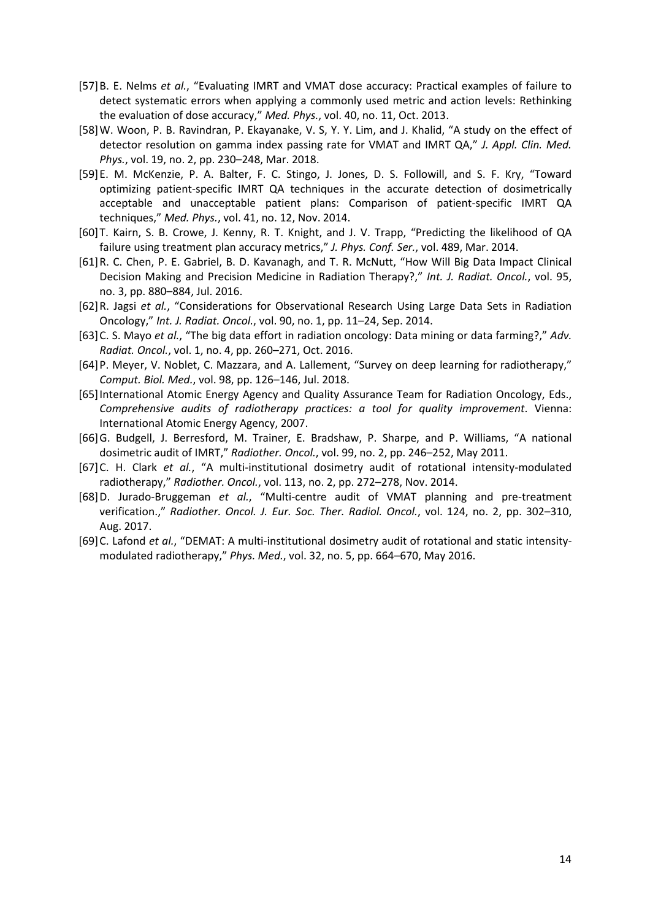- [57] B. E. Nelms *et al.*, "Evaluating IMRT and VMAT dose accuracy: Practical examples of failure to detect systematic errors when applying a commonly used metric and action levels: Rethinking the evaluation of dose accuracy," *Med. Phys.*, vol. 40, no. 11, Oct. 2013.
- [58] W. Woon, P. B. Ravindran, P. Ekayanake, V. S, Y. Y. Lim, and J. Khalid, "A study on the effect of detector resolution on gamma index passing rate for VMAT and IMRT QA," *J. Appl. Clin. Med. Phys.*, vol. 19, no. 2, pp. 230–248, Mar. 2018.
- [59] E. M. McKenzie, P. A. Balter, F. C. Stingo, J. Jones, D. S. Followill, and S. F. Kry, "Toward optimizing patient-specific IMRT QA techniques in the accurate detection of dosimetrically acceptable and unacceptable patient plans: Comparison of patient-specific IMRT QA techniques," *Med. Phys.*, vol. 41, no. 12, Nov. 2014.
- [60] T. Kairn, S. B. Crowe, J. Kenny, R. T. Knight, and J. V. Trapp, "Predicting the likelihood of QA failure using treatment plan accuracy metrics," *J. Phys. Conf. Ser.*, vol. 489, Mar. 2014.
- [61] R. C. Chen, P. E. Gabriel, B. D. Kavanagh, and T. R. McNutt, "How Will Big Data Impact Clinical Decision Making and Precision Medicine in Radiation Therapy?," *Int. J. Radiat. Oncol.*, vol. 95, no. 3, pp. 880–884, Jul. 2016.
- [62] R. Jagsi *et al.*, "Considerations for Observational Research Using Large Data Sets in Radiation Oncology," *Int. J. Radiat. Oncol.*, vol. 90, no. 1, pp. 11–24, Sep. 2014.
- [63] C. S. Mayo *et al.*, "The big data effort in radiation oncology: Data mining or data farming?," *Adv. Radiat. Oncol.*, vol. 1, no. 4, pp. 260–271, Oct. 2016.
- [64] P. Meyer, V. Noblet, C. Mazzara, and A. Lallement, "Survey on deep learning for radiotherapy," *Comput. Biol. Med.*, vol. 98, pp. 126–146, Jul. 2018.
- [65] International Atomic Energy Agency and Quality Assurance Team for Radiation Oncology, Eds., *Comprehensive audits of radiotherapy practices: a tool for quality improvement*. Vienna: International Atomic Energy Agency, 2007.
- [66] G. Budgell, J. Berresford, M. Trainer, E. Bradshaw, P. Sharpe, and P. Williams, "A national dosimetric audit of IMRT," *Radiother. Oncol.*, vol. 99, no. 2, pp. 246–252, May 2011.
- [67] C. H. Clark *et al.*, "A multi-institutional dosimetry audit of rotational intensity-modulated radiotherapy," *Radiother. Oncol.*, vol. 113, no. 2, pp. 272–278, Nov. 2014.
- [68] D. Jurado-Bruggeman *et al.*, "Multi-centre audit of VMAT planning and pre-treatment verification.," *Radiother. Oncol. J. Eur. Soc. Ther. Radiol. Oncol.*, vol. 124, no. 2, pp. 302–310, Aug. 2017.
- [69] C. Lafond *et al.*, "DEMAT: A multi-institutional dosimetry audit of rotational and static intensitymodulated radiotherapy," *Phys. Med.*, vol. 32, no. 5, pp. 664–670, May 2016.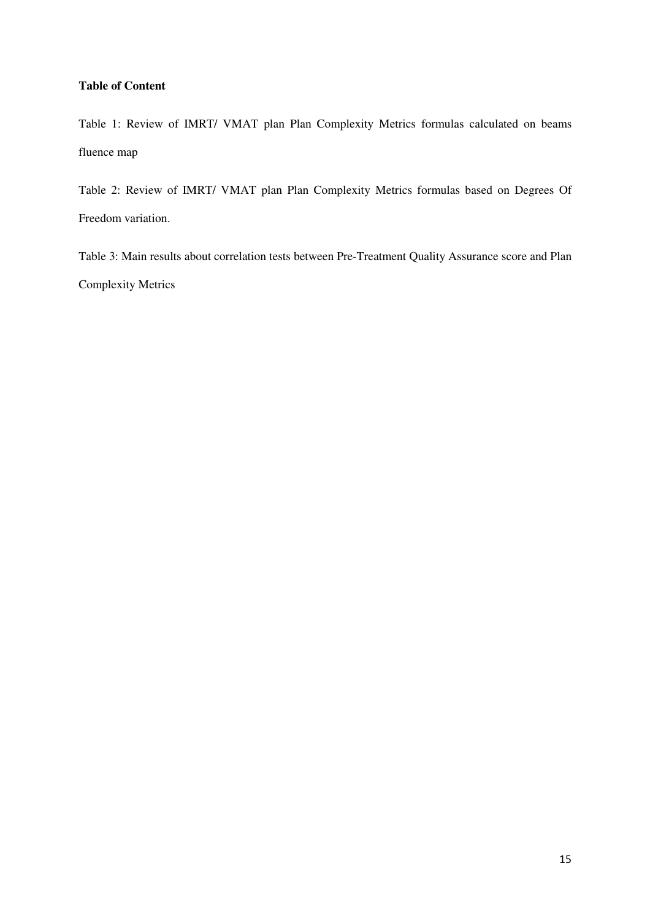#### **Table of Content**

Table 1: Review of IMRT/ VMAT plan Plan Complexity Metrics formulas calculated on beams fluence map

Table 2: Review of IMRT/ VMAT plan Plan Complexity Metrics formulas based on Degrees Of Freedom variation.

Table 3: Main results about correlation tests between Pre-Treatment Quality Assurance score and Plan Complexity Metrics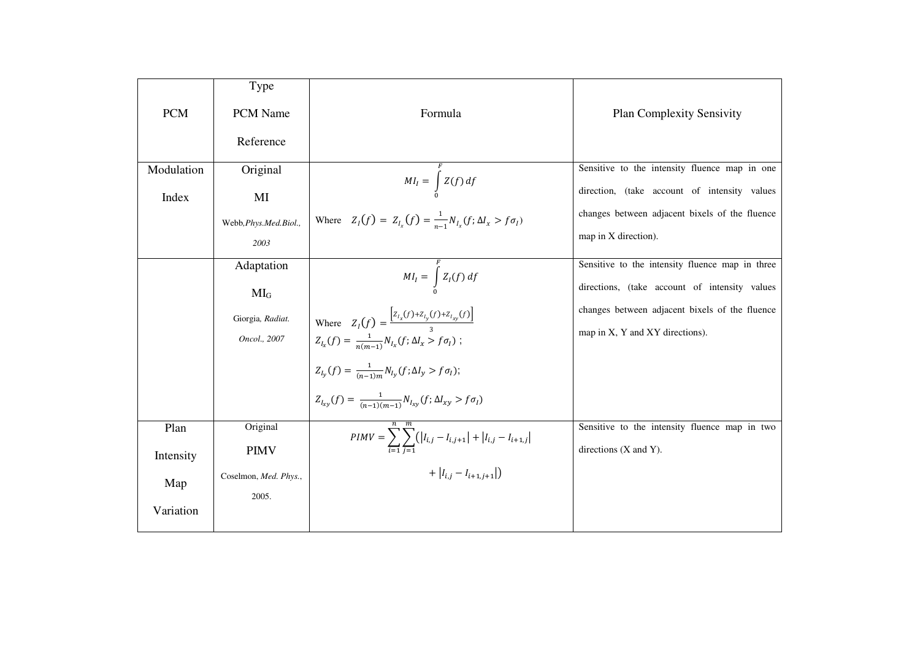|            | Type                  |                                                                                                                                             |                                                 |
|------------|-----------------------|---------------------------------------------------------------------------------------------------------------------------------------------|-------------------------------------------------|
| <b>PCM</b> | PCM Name              | Formula                                                                                                                                     | <b>Plan Complexity Sensivity</b>                |
|            | Reference             |                                                                                                                                             |                                                 |
| Modulation | Original              |                                                                                                                                             | Sensitive to the intensity fluence map in one   |
| Index      | MI                    | $MI_I = \int Z(f) df$                                                                                                                       | direction, (take account of intensity values    |
|            | Webb, Phys.Med.Biol., | Where $Z_I(f) = Z_{I_x}(f) = \frac{1}{n-1} N_{I_x}(f; \Delta I_x > f\sigma_I)$                                                              | changes between adjacent bixels of the fluence  |
|            | 2003                  |                                                                                                                                             | map in X direction).                            |
|            | Adaptation            |                                                                                                                                             | Sensitive to the intensity fluence map in three |
|            | $MI_G$                | $MI_I = \int\limits_{0}^{1} Z_I(f) df$                                                                                                      | directions, (take account of intensity values   |
|            | Giorgia, Radiat.      | Where $Z_I(f) = \frac{[z_{I_x}(f) + z_{I_y}(f) + z_{I_{xy}}(f)]}{2}$                                                                        | changes between adjacent bixels of the fluence  |
|            | Oncol., 2007          | $Z_{I_x}(f) = \frac{1}{n(m-1)} N_{I_x}(f; \Delta I_x > f\sigma_I)$ ;                                                                        | map in X, Y and XY directions).                 |
|            |                       | $Z_{I_y}(f) = \frac{1}{(n-1)m} N_{I_y}(f; \Delta I_y > f \sigma_I);$                                                                        |                                                 |
|            |                       |                                                                                                                                             |                                                 |
|            |                       | $Z_{I_{xy}}(f) = \frac{1}{(n-1)(m-1)} N_{I_{xy}}(f; \Delta I_{xy} > f\sigma_I)$                                                             |                                                 |
| Plan       | Original              |                                                                                                                                             | Sensitive to the intensity fluence map in two   |
| Intensity  | <b>PIMV</b>           | $\label{eq:plMV} \small \mathit{PINV} = \sum_{i=1} \sum_{i=1} \bigl( \bigl  I_{i,j} - I_{i,j+1} \bigr  + \bigl  I_{i,j} - I_{i+1,j} \bigr $ | directions $(X \text{ and } Y)$ .               |
| Map        | Coselmon, Med. Phys., | + $ I_{i,i} - I_{i+1,i+1} $                                                                                                                 |                                                 |
|            | 2005.                 |                                                                                                                                             |                                                 |
| Variation  |                       |                                                                                                                                             |                                                 |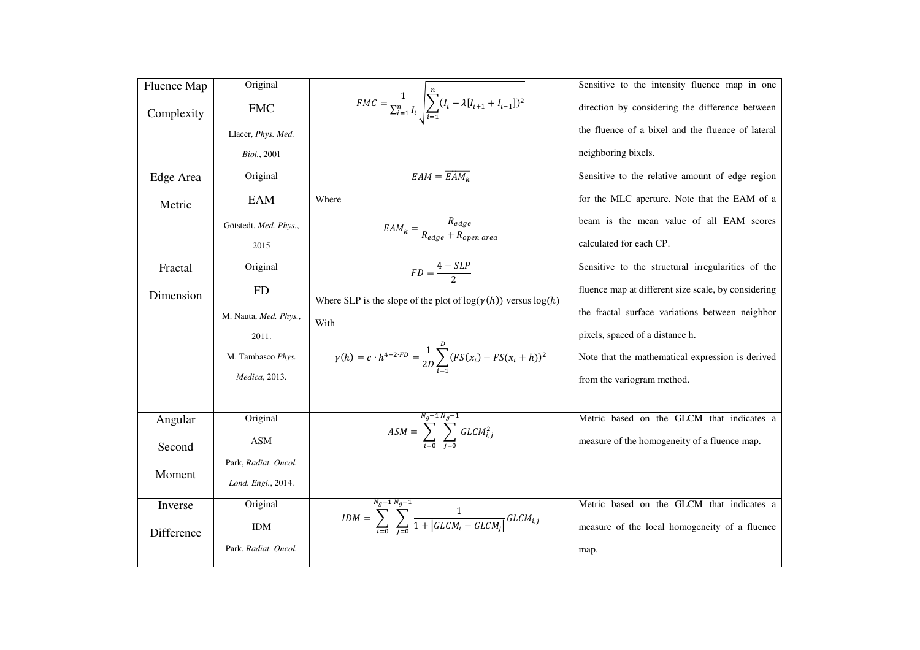| Fluence Map | Original              |                                                                                                          | Sensitive to the intensity fluence map in one       |
|-------------|-----------------------|----------------------------------------------------------------------------------------------------------|-----------------------------------------------------|
| Complexity  | <b>FMC</b>            | $FMC = \frac{1}{\sum_{i=1}^{n} I_i} \left  \sum_{i=1}^{n} (I_i - \lambda [I_{i+1} + I_{i-1}])^2 \right $ | direction by considering the difference between     |
|             | Llacer, Phys. Med.    |                                                                                                          | the fluence of a bixel and the fluence of lateral   |
|             | <i>Biol.</i> , 2001   |                                                                                                          | neighboring bixels.                                 |
| Edge Area   | Original              | $EAM = \overline{EAM_k}$                                                                                 | Sensitive to the relative amount of edge region     |
| Metric      | EAM                   | Where                                                                                                    | for the MLC aperture. Note that the EAM of a        |
|             | Götstedt, Med. Phys., | $EAM_k = \frac{R_{edge}}{R_{edge} + R_{open\,area}}$                                                     | beam is the mean value of all EAM scores            |
|             | 2015                  |                                                                                                          | calculated for each CP.                             |
| Fractal     | Original              | $FD = \frac{4-SLP}{2}$                                                                                   | Sensitive to the structural irregularities of the   |
| Dimension   | <b>FD</b>             |                                                                                                          | fluence map at different size scale, by considering |
|             |                       | Where SLP is the slope of the plot of $log(\gamma(h))$ versus $log(h)$                                   | the fractal surface variations between neighbor     |
|             | M. Nauta, Med. Phys., | With                                                                                                     | pixels, spaced of a distance h.                     |
|             | 2011.                 |                                                                                                          |                                                     |
|             | M. Tambasco Phys.     | $\gamma(h) = c \cdot h^{4-2\cdot FD} = \frac{1}{2D} \sum_{i=1}^{D} (FS(x_i) - FS(x_i + h))^2$            | Note that the mathematical expression is derived    |
|             | Medica, 2013.         |                                                                                                          | from the variogram method.                          |
|             |                       |                                                                                                          |                                                     |
| Angular     | Original              | $ASM = \sum_{i=1}^{N_g - 1} \sum_{i=1}^{N_g - 1} GLCM_{i,j}^2$                                           | Metric based on the GLCM that indicates a           |
| Second      | <b>ASM</b>            |                                                                                                          | measure of the homogeneity of a fluence map.        |
|             | Park, Radiat. Oncol.  |                                                                                                          |                                                     |
| Moment      | Lond. Engl., 2014.    |                                                                                                          |                                                     |
| Inverse     | Original              | $IDM = \sum_{i=0}^{N_g-1} \sum_{i=0}^{N_g-1} \frac{1}{1 +  GLCM_i - GLCM_j } GLCM_{i,j}$                 | Metric based on the GLCM that indicates a           |
| Difference  | <b>IDM</b>            |                                                                                                          | measure of the local homogeneity of a fluence       |
|             | Park, Radiat. Oncol.  |                                                                                                          | map.                                                |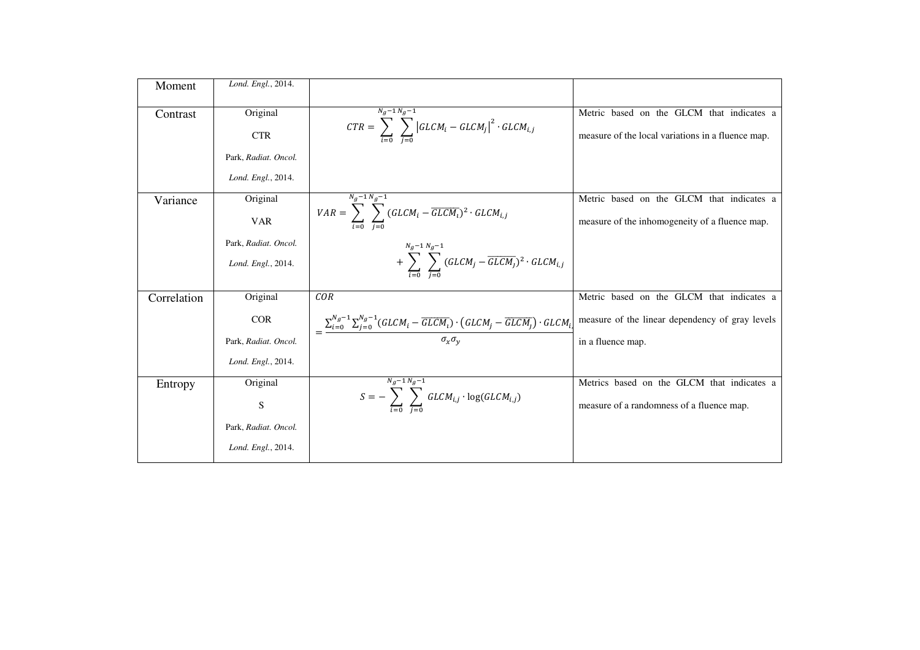| Moment      | Lond. Engl., 2014.   |                                                                                                                                                   |                                                   |
|-------------|----------------------|---------------------------------------------------------------------------------------------------------------------------------------------------|---------------------------------------------------|
| Contrast    | Original             | $N_g - 1 N_g - 1$                                                                                                                                 | Metric based on the GLCM that indicates a         |
|             | <b>CTR</b>           | $\mathit{CTR} = \sum_{i=0}^{n} \sum_{i=0}^{\infty}   \mathit{GLCM}_i - \mathit{GLCM}_j  ^2 \cdot \mathit{GLCM}_{i,j}$                             | measure of the local variations in a fluence map. |
|             | Park, Radiat. Oncol. |                                                                                                                                                   |                                                   |
|             | Lond. Engl., 2014.   |                                                                                                                                                   |                                                   |
| Variance    | Original             | $N_g - 1 N_g - 1$                                                                                                                                 | Metric based on the GLCM that indicates a         |
|             | <b>VAR</b>           | $VAR = \sum_{i=0}^{s} \sum_{i=0}^{s} (GLCM_i - \overline{GLCM_i})^2 \cdot GLCM_{i,j}$                                                             | measure of the inhomogeneity of a fluence map.    |
|             | Park, Radiat. Oncol. | $N_g - 1 N_g - 1$                                                                                                                                 |                                                   |
|             | Lond. Engl., 2014.   | + $\sum_{i=0}$ $\sum_{i=0}$ $(GLCM_j - \overline{GLCM_j})^2 \cdot GLCM_{i,j}$                                                                     |                                                   |
| Correlation | Original             | COR                                                                                                                                               | Metric based on the GLCM that indicates a         |
|             | <b>COR</b>           | $=\frac{\sum_{i=0}^{N_g-1}\sum_{j=0}^{N_g-1}(GLCM_i-\overline{GLCM_i})\cdot \left(GLCM_j-\overline{GLCM_j}\right)\cdot GLCM_i}{\sigma_x\sigma_v}$ | measure of the linear dependency of gray levels   |
|             | Park, Radiat. Oncol. |                                                                                                                                                   | in a fluence map.                                 |
|             | Lond. Engl., 2014.   |                                                                                                                                                   |                                                   |
| Entropy     | Original             | $N_g - 1 N_g - 1$                                                                                                                                 | Metrics based on the GLCM that indicates a        |
|             | S                    | $S = -\sum_{i=0} \sum_{i=0} GLCM_{i,j} \cdot \log(GLCM_{i,j})$                                                                                    | measure of a randomness of a fluence map.         |
|             | Park, Radiat. Oncol. |                                                                                                                                                   |                                                   |
|             | Lond. Engl., 2014.   |                                                                                                                                                   |                                                   |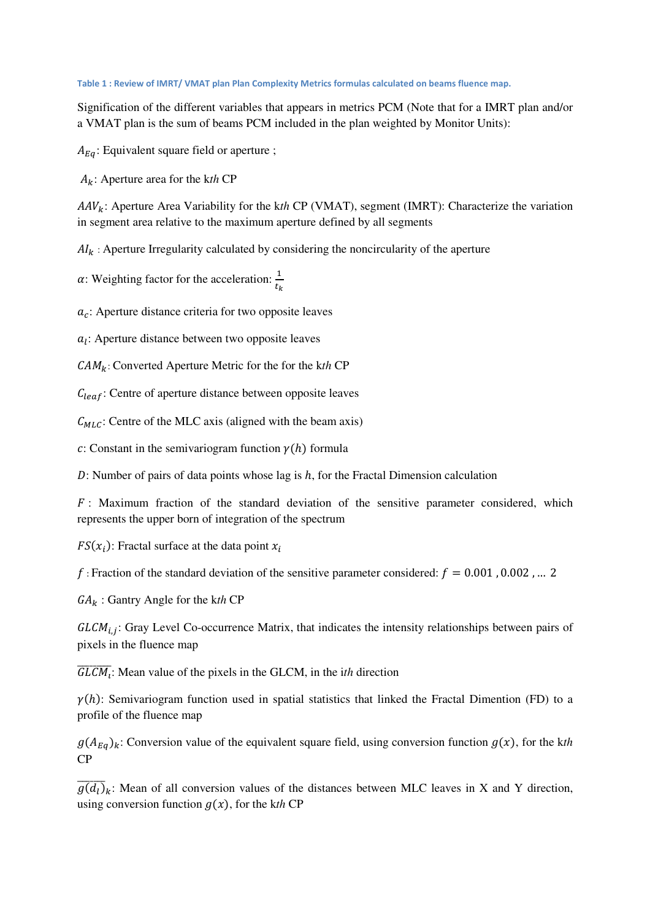#### **Table 1 : Review of IMRT/ VMAT plan Plan Complexity Metrics formulas calculated on beams fluence map.**

Signification of the different variables that appears in metrics PCM (Note that for a IMRT plan and/or a VMAT plan is the sum of beams PCM included in the plan weighted by Monitor Units):

 $A_{Eq}$ : Equivalent square field or aperture ;

 $A_k$ : Aperture area for the kth CP

88%9: Aperture Area Variability for the k*th* CP (VMAT), segment (IMRT): Characterize the variation in segment area relative to the maximum aperture defined by all segments

 $AI<sub>k</sub>$ : Aperture Irregularity calculated by considering the noncircularity of the aperture

 $\alpha$ : Weighting factor for the acceleration:  $\frac{1}{t_k}$ 

 $a_c$ : Aperture distance criteria for two opposite leaves

 $a_l$ : Aperture distance between two opposite leaves

 $CAM_k$ : Converted Aperture Metric for the for the kth CP

 $C_{leaf}$ : Centre of aperture distance between opposite leaves

 $C_{MLC}$ : Centre of the MLC axis (aligned with the beam axis)

c: Constant in the semivariogram function  $\gamma(h)$  formula

D: Number of pairs of data points whose lag is  $h$ , for the Fractal Dimension calculation

 $F$ : Maximum fraction of the standard deviation of the sensitive parameter considered, which represents the upper born of integration of the spectrum

 $FS(x_i)$ : Fractal surface at the data point  $x_i$ 

f: Fraction of the standard deviation of the sensitive parameter considered:  $f = 0.001$ , 0.002, ... 2

 $GA_k$ : Gantry Angle for the kth CP

 $GLCM_{i,j}$ : Gray Level Co-occurrence Matrix, that indicates the intensity relationships between pairs of pixels in the fluence map

 $\overline{GLCM}_i$ : Mean value of the pixels in the GLCM, in the *ith* direction

 $\gamma(h)$ : Semivariogram function used in spatial statistics that linked the Fractal Dimention (FD) to a profile of the fluence map

 $g(A_{Eq})_k$ : Conversion value of the equivalent square field, using conversion function  $g(x)$ , for the kth CP

 $\overline{g(d_l)}_k$ : Mean of all conversion values of the distances between MLC leaves in X and Y direction, using conversion function  $g(x)$ , for the kth CP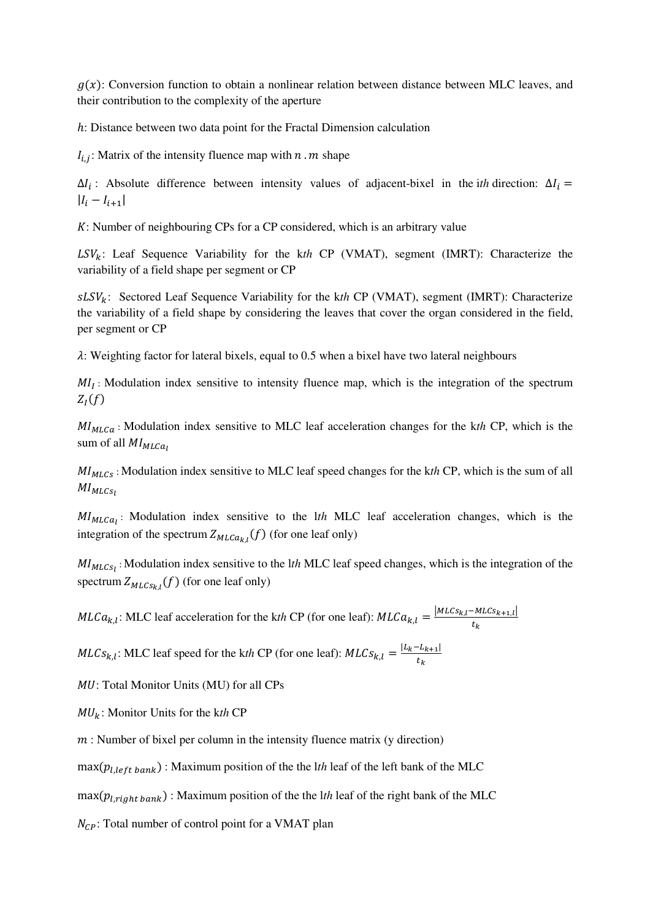$g(x)$ : Conversion function to obtain a nonlinear relation between distance between MLC leaves, and their contribution to the complexity of the aperture

ℎ: Distance between two data point for the Fractal Dimension calculation

 $I_{i,j}$ : Matrix of the intensity fluence map with  $n \cdot m$  shape

 $\Delta I_i$ : Absolute difference between intensity values of adjacent-bixel in the *ith* direction:  $\Delta I_i$  =  $|I_i - I_{i+1}|$ 

K: Number of neighbouring CPs for a CP considered, which is an arbitrary value

 $LSV_k$ : Leaf Sequence Variability for the kth CP (VMAT), segment (IMRT): Characterize the variability of a field shape per segment or CP

 $sLSV_k$ : Sectored Leaf Sequence Variability for the kth CP (VMAT), segment (IMRT): Characterize the variability of a field shape by considering the leaves that cover the organ considered in the field, per segment or CP

 $\lambda$ : Weighting factor for lateral bixels, equal to 0.5 when a bixel have two lateral neighbours

 $MI_I$ : Modulation index sensitive to intensity fluence map, which is the integration of the spectrum  $Z_I(f)$ 

 $MI_{MLCa}$ : Modulation index sensitive to MLC leaf acceleration changes for the kth CP, which is the sum of all  $MI_{MLCa_l}$ 

 $MI_{MLCs}$ : Modulation index sensitive to MLC leaf speed changes for the  $kth CP$ , which is the sum of all  $M$ I $_{MLCs}$ 

 $MI_{MLCa_1}$ : Modulation index sensitive to the lth MLC leaf acceleration changes, which is the integration of the spectrum  $Z_{MLCa_{k,l}}(f)$  (for one leaf only)

 $MI_{MLCs}$ : Modulation index sensitive to the lth MLC leaf speed changes, which is the integration of the spectrum  $Z_{MLCs_{k,l}}(f)$  (for one leaf only)

 $MLCa_{k,l}$ : MLC leaf acceleration for the kth CP (for one leaf):  $MLCa_{k,l} = \frac{|MLCs_{k,l}-MLCs_{k+1,l}|}{t_k}$  $t_k$ 

 $MLCs_{k,l}$ : MLC leaf speed for the kth CP (for one leaf):  $MLCs_{k,l} = \frac{|L_k - L_{k+1}|}{t_k}$  $t_k$ 

MU: Total Monitor Units (MU) for all CPs

 $MU_k$ : Monitor Units for the kth CP

 $m$ : Number of bixel per column in the intensity fluence matrix (y direction)

 $max(p_{l, left\ bank})$ : Maximum position of the the l*th* leaf of the left bank of the MLC

 $max(p_{l, right\ bank})$ : Maximum position of the the lth leaf of the right bank of the MLC

 $N_{CP}$ : Total number of control point for a VMAT plan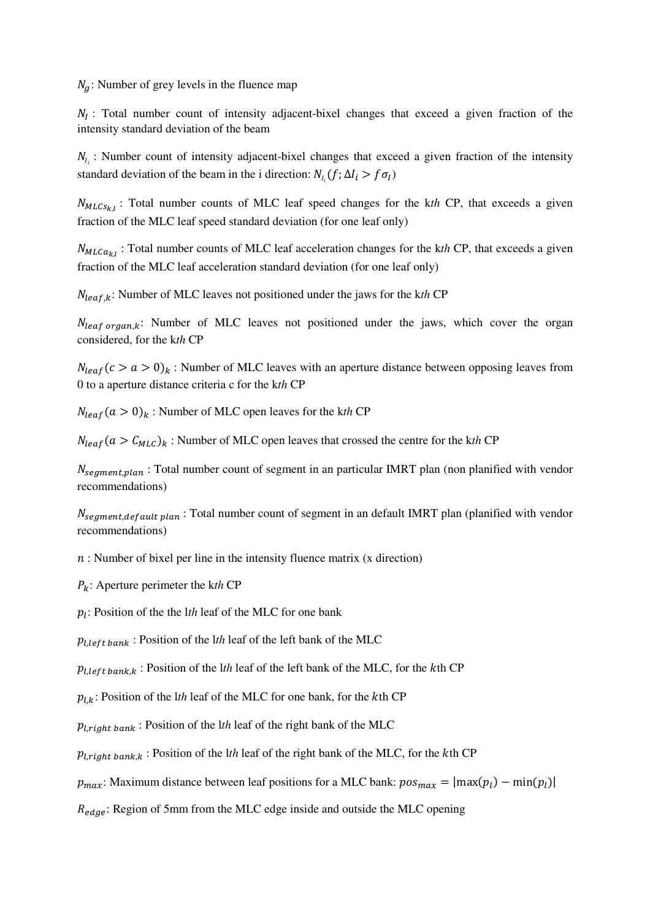$N_a$ : Number of grey levels in the fluence map

 $N_I$ : Total number count of intensity adjacent-bixel changes that exceed a given fraction of the intensity standard deviation of the beam

 $N_{I_i}$ : Number count of intensity adjacent-bixel changes that exceed a given fraction of the intensity standard deviation of the beam in the i direction:  $N_{I_i}(f; \Delta I_i > f \sigma_I)$ 

 $N_{MLCs_{k,l}}$ : Total number counts of MLC leaf speed changes for the kth CP, that exceeds a given fraction of the MLC leaf speed standard deviation (for one leaf only)

 $N_{MLCa_{k,l}}$ : Total number counts of MLC leaf acceleration changes for the kth CP, that exceeds a given fraction of the MLC leaf acceleration standard deviation (for one leaf only)

 $N_{leaf,k}$ : Number of MLC leaves not positioned under the jaws for the kth CP

 $N_{leaf\,organ,k}$ : Number of MLC leaves not positioned under the jaws, which cover the organ considered, for the k*th* CP

 $N_{leaf}(c > a > 0)_k$ : Number of MLC leaves with an aperture distance between opposing leaves from 0 to a aperture distance criteria c for the k*th* CP

 $N_{leaf}(a>0)_k$ : Number of MLC open leaves for the kth CP

 $N_{leaf}(a > C_{MLC})_k$ : Number of MLC open leaves that crossed the centre for the kth CP

 $N_{seament, plan}$ : Total number count of segment in an particular IMRT plan (non planified with vendor recommendations)

 $N_{segment, default\ plan}$ : Total number count of segment in an default IMRT plan (planified with vendor recommendations)

 $n:$  Number of bixel per line in the intensity fluence matrix (x direction)

 $P_k$ : Aperture perimeter the kth CP

 $p_l$ : Position of the the *lth* leaf of the MLC for one bank

 $p_{\text{l.left bank}}$ : Position of the lth leaf of the left bank of the MLC

 $p_{\text{l.left bank},k}$ : Position of the lth leaf of the left bank of the MLC, for the kth CP

 $p_{1k}$ : Position of the lth leaf of the MLC for one bank, for the kth CP

 $p_{l, right bank}$ : Position of the lth leaf of the right bank of the MLC

 $p_{Lriath bank, k}$ : Position of the lth leaf of the right bank of the MLC, for the kth CP

 $p_{max}$ : Maximum distance between leaf positions for a MLC bank:  $pos_{max} = |max(p_l) - min(p_l)|$ 

 $R_{\text{edge}}$ : Region of 5mm from the MLC edge inside and outside the MLC opening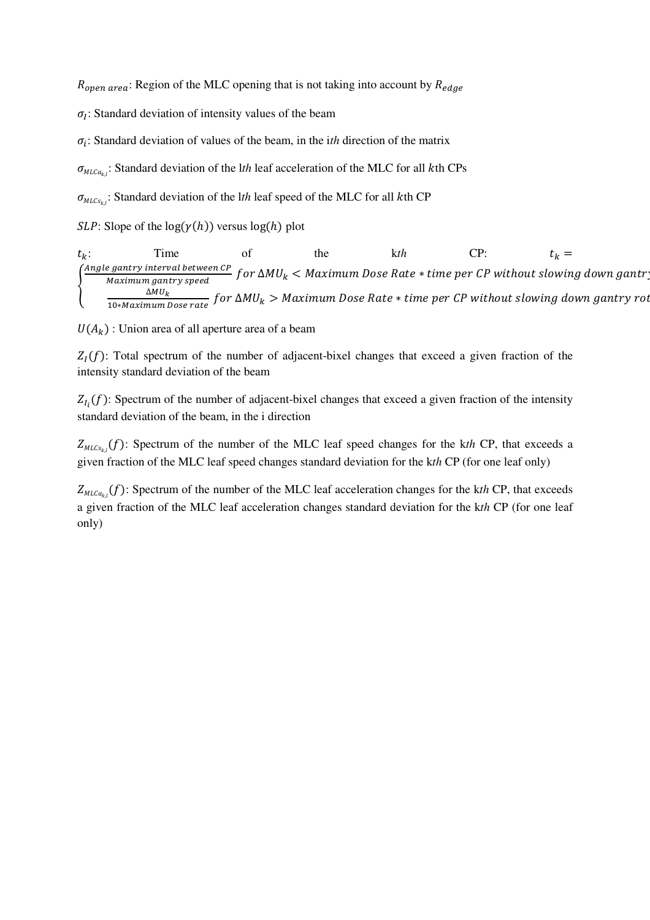$R_{open\ area}$ : Region of the MLC opening that is not taking into account by  $R_{ed\ ae}$ 

 $\sigma_I$ : Standard deviation of intensity values of the beam

 $\sigma_i$ : Standard deviation of values of the beam, in the *ith* direction of the matrix

 $\sigma_{MLCa_{k,l}}$ : Standard deviation of the lth leaf acceleration of the MLC for all kth CPs

 $\sigma_{MLCs_{k,l}}$ : Standard deviation of the lth leaf speed of the MLC for all kth CP

 $SLP$ : Slope of the  $log(\gamma(h))$  versus  $log(h)$  plot

 $t_k$ : Time of the k*th* CP:  $t_k =$ Ä  $\frac{Angle\ gantry\ interval\ between\ CP}{Maximm\ gantry\ speed}$  for  $\Delta MU_k < Maximmum\ Does\ Rate\ *\ time\ per\ CP\ without\ slowing\ down\ gantry$ <u>∆MU<sub>k</sub> and  $\frac{\Delta MU_k}{10 * M \alpha x i m u m}$ </u> for  $\Delta MU_k > M \alpha x i m u m$  Dose Rate  $*$  time per CP without slowing down gantry rot

 $U(A_k)$ : Union area of all aperture area of a beam

 $Z_I(f)$ : Total spectrum of the number of adjacent-bixel changes that exceed a given fraction of the intensity standard deviation of the beam

 $Z_{I_i}(f)$ : Spectrum of the number of adjacent-bixel changes that exceed a given fraction of the intensity standard deviation of the beam, in the i direction

 $Z_{MLCs_{k,l}}(f)$ : Spectrum of the number of the MLC leaf speed changes for the kth CP, that exceeds a given fraction of the MLC leaf speed changes standard deviation for the k*th* CP (for one leaf only)

 $Z_{MLCa_{k,l}}(f)$ : Spectrum of the number of the MLC leaf acceleration changes for the kth CP, that exceeds a given fraction of the MLC leaf acceleration changes standard deviation for the k*th* CP (for one leaf only)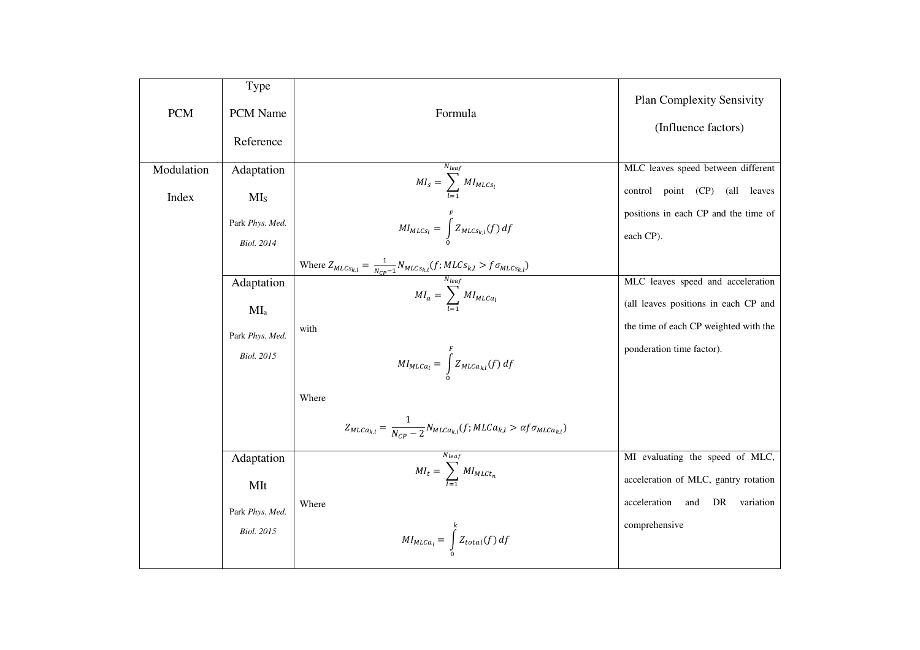| <b>PCM</b> | Type<br>PCM Name<br>Reference | Formula                                                                                            | <b>Plan Complexity Sensivity</b><br>(Influence factors) |
|------------|-------------------------------|----------------------------------------------------------------------------------------------------|---------------------------------------------------------|
| Modulation | Adaptation                    |                                                                                                    | MLC leaves speed between different                      |
| Index      | MI <sub>S</sub>               | $MI_s = \sum_{i=1}^{N} MI_{MLCs_i}$                                                                | (all leaves<br>$control$ point $(CP)$                   |
|            | Park Phys. Med.               |                                                                                                    | positions in each CP and the time of                    |
|            | <b>Biol.</b> 2014             | $MI_{MLCs} = \int_{0}^{F} Z_{MLCs_{k,l}}(f) df$                                                    | each CP).                                               |
|            |                               | Where $Z_{MLCs_{k,l}} = \frac{1}{N_{CP}-1} N_{MLCs_{k,l}}(f; MLCs_{k,l} > f\sigma_{MLCs_{k,l}})$   |                                                         |
|            | Adaptation                    |                                                                                                    | MLC leaves speed and acceleration                       |
|            | $MI_a$                        | $MI_a = \sum M I_{MLCa}$                                                                           | (all leaves positions in each CP and                    |
|            | Park Phys. Med.               | with                                                                                               | the time of each CP weighted with the                   |
|            | <b>Biol.</b> 2015             | $MI_{MLCa_l} = \int\limits_{0}^{r} Z_{MLCa_{k,l}}(f) df$                                           | ponderation time factor).                               |
|            |                               | Where                                                                                              |                                                         |
|            |                               | $Z_{MLCa_{k,l}} = \frac{1}{N_{co}-2} N_{MLCa_{k,l}}(f; MLCa_{k,l} > \alpha f \sigma_{MLCa_{k,l}})$ |                                                         |
|            | Adaptation                    | $N_{leaf}$                                                                                         | MI evaluating the speed of MLC,                         |
|            | MIt                           | $MI_t = \sum M I_{MLC t_n}$                                                                        | acceleration of MLC, gantry rotation                    |
|            | Park Phys. Med.               | Where                                                                                              | DR<br>acceleration<br>variation<br>and                  |
|            | <b>Biol.</b> 2015             | $MI_{MLCa_l} = \int_{0}^{R} Z_{total}(f) df$                                                       | comprehensive                                           |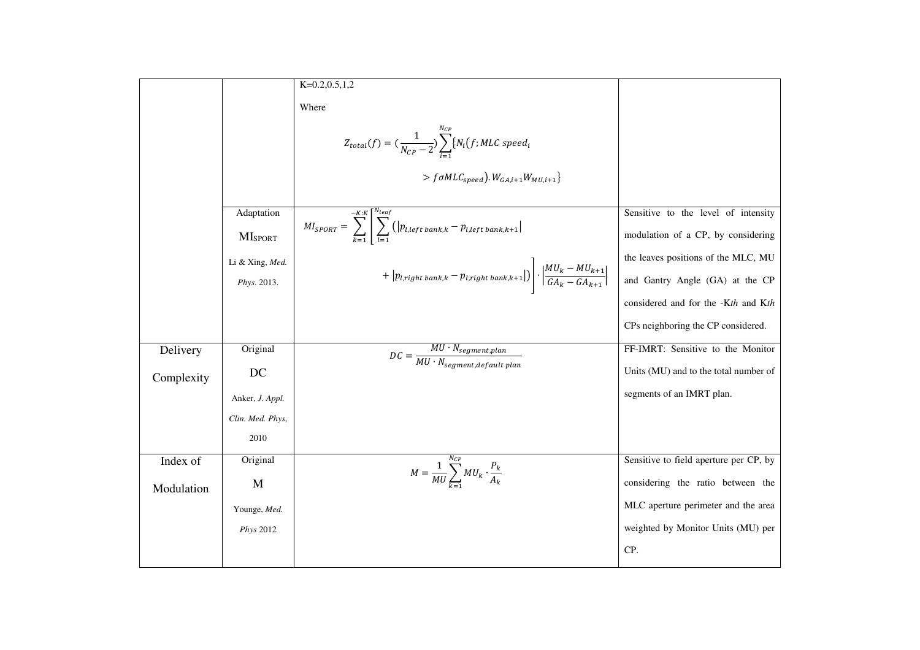|            |                            | $K=0.2, 0.5, 1, 2$                                                                                                                    |                                        |
|------------|----------------------------|---------------------------------------------------------------------------------------------------------------------------------------|----------------------------------------|
|            |                            | Where                                                                                                                                 |                                        |
|            |                            | $Z_{total}(f) = (\frac{1}{N_{CP} - 2}) \sum_{i=1}^{N_{CP}} \{N_i(f; MLC~speed_i$                                                      |                                        |
|            |                            | $>$ f $\sigma MLC_{speed}$ ). $W_{GA,i+1}W_{MU,i+1}$                                                                                  |                                        |
|            | Adaptation                 |                                                                                                                                       | Sensitive to the level of intensity    |
|            | <b>MI</b> <sub>SPORT</sub> | $MI_{SPORT} = \sum_{k=1}^{-K:K} \left[ \sum_{l=1}^{N_{leaf}} \left(  p_{l,left bank,k} - p_{l,left bank,k+1} \right) \right. \right.$ | modulation of a CP, by considering     |
|            | Li & Xing, Med.            |                                                                                                                                       | the leaves positions of the MLC, MU    |
|            | Phys. 2013.                | $+\left p_{l, right\ bank,k}-p_{l, right\ bank,k+1} \right)\left \cdot\left \frac{MU_{k}-MU_{k+1}}{GA_{k}-GA_{k+1}}\right \right $    | and Gantry Angle (GA) at the CP        |
|            |                            |                                                                                                                                       | considered and for the -Kth and Kth    |
|            |                            |                                                                                                                                       | CPs neighboring the CP considered.     |
| Delivery   | Original                   | $DC = \frac{MU \cdot N_{segment, plan}}{MU \cdot N_{segment, default plan}}$                                                          | FF-IMRT: Sensitive to the Monitor      |
| Complexity | DC                         |                                                                                                                                       | Units (MU) and to the total number of  |
|            | Anker, J. Appl.            |                                                                                                                                       | segments of an IMRT plan.              |
|            | Clin. Med. Phys,           |                                                                                                                                       |                                        |
|            | 2010                       |                                                                                                                                       |                                        |
| Index of   | Original                   | $M = \frac{1}{MU} \sum_{k=1}^{N_{CP}} MU_k \cdot \frac{P_k}{A_k}$                                                                     | Sensitive to field aperture per CP, by |
| Modulation | M                          |                                                                                                                                       | considering the ratio between the      |
|            | Younge, Med.               |                                                                                                                                       | MLC aperture perimeter and the area    |
|            | Phys 2012                  |                                                                                                                                       | weighted by Monitor Units (MU) per     |
|            |                            |                                                                                                                                       | CP.                                    |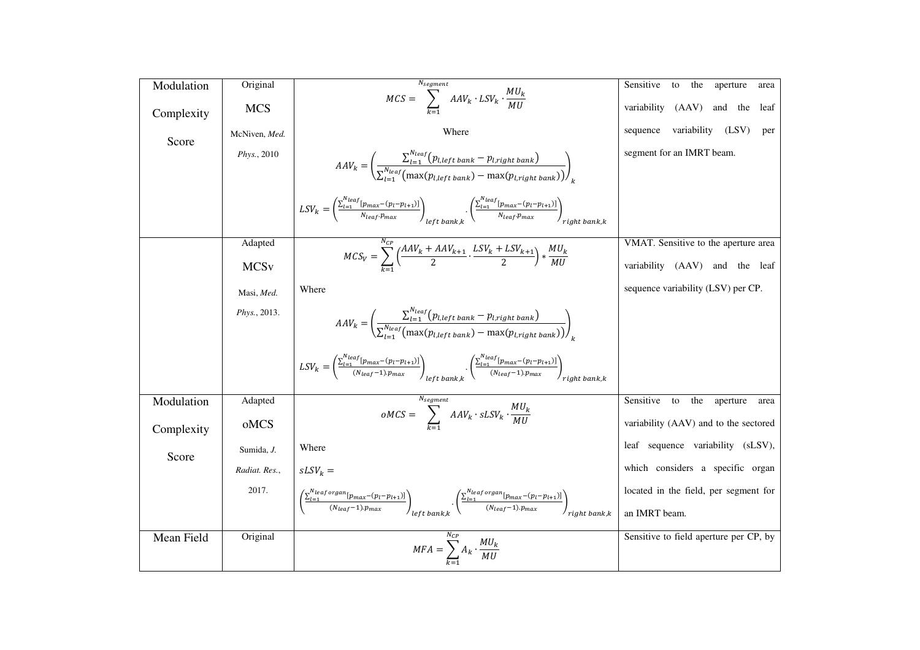| Modulation | Original                |                                                                                                                                                                                                                        | Sensitive<br>the<br>to<br>aperture<br>area |  |  |  |
|------------|-------------------------|------------------------------------------------------------------------------------------------------------------------------------------------------------------------------------------------------------------------|--------------------------------------------|--|--|--|
| Complexity | <b>MCS</b>              | $MCS = \sum_{k=1}^{N} AAV_k \cdot LSV_k \cdot \frac{MU_k}{MU}$                                                                                                                                                         | (AAV)<br>variability<br>and the<br>leaf    |  |  |  |
| Score      | McNiven, Med.           | Where                                                                                                                                                                                                                  | variability<br>(LSV)<br>sequence<br>per    |  |  |  |
|            | Phys., 2010             | $AAV_k = \left( \frac{\sum_{l=1}^{new} (p_{l,left bank} - p_{l,right bank})}{\sum_{l=1}^{N_{leaf}} (max(p_{l,left bank}) - max(p_{l,right bank}))} \right)_k$                                                          | segment for an IMRT beam.                  |  |  |  |
|            |                         | $LSV_k=\left(\frac{\sum_{l=1}^{N_{leaf}}[p_{max}-(p_l-p_{l+1})]}{N_{leaf}p_{max}}\right)_{left} \cdot \left(\frac{\sum_{l=1}^{``leaf}[p_{max}-(p_l-p_{l+1})]}{N_{leaf}p_{max}}\right)_{right\}$                        |                                            |  |  |  |
|            | Adapted                 |                                                                                                                                                                                                                        | VMAT. Sensitive to the aperture area       |  |  |  |
|            | <b>MCS</b> <sub>v</sub> | $MCS_V = \sum \left(\frac{AAV_k + AAV_{k+1}}{2} \cdot \frac{LSV_k + LSV_{k+1}}{2}\right) * \frac{MU_k}{MU}$                                                                                                            | variability (AAV) and the leaf             |  |  |  |
|            | Masi, Med.              | Where                                                                                                                                                                                                                  | sequence variability (LSV) per CP.         |  |  |  |
|            | Phys., 2013.            | $AAV_k = \left( \frac{\sum_{l=1}^{new} (p_{l,left bank} - p_{l,right bank})}{\sum_{l=1}^{N_{leaf}} (max(p_{l,left bank}) - max(p_{l,right bank}))} \right)$                                                            |                                            |  |  |  |
|            |                         | $LSV_k=\left(\frac{\sum_{l=1}^{N_{leaf}}[p_{max}-(p_l-p_{l+1})]}{(N_{leaf}-1).p_{max}}\right)_{left~back} \cdot \left(\frac{\sum_{l=1}^{N_{leaf}}[p_{max}-(p_l-p_{l+1})]}{(N_{leaf}-1).p_{max}}\right)_{right~bank,k}$ |                                            |  |  |  |
| Modulation | Adapted                 |                                                                                                                                                                                                                        | the<br>Sensitive<br>to<br>aperture<br>area |  |  |  |
| Complexity | oMCS                    | $oMCS = \sum$ $AAV_k \cdot sLSV_k \cdot \frac{MU_k}{MU}$                                                                                                                                                               | variability (AAV) and to the sectored      |  |  |  |
| Score      | Sumida, J.              | Where                                                                                                                                                                                                                  | leaf sequence variability (sLSV),          |  |  |  |
|            | Radiat. Res.,           | $sLSV_k =$                                                                                                                                                                                                             | which considers a specific organ           |  |  |  |
|            | 2017.                   |                                                                                                                                                                                                                        | located in the field, per segment for      |  |  |  |
|            |                         |                                                                                                                                                                                                                        | an IMRT beam.                              |  |  |  |
| Mean Field | Original                | $MFA = \sum_{k=1}^{M} A_k \cdot \frac{MU_k}{MU}$                                                                                                                                                                       | Sensitive to field aperture per CP, by     |  |  |  |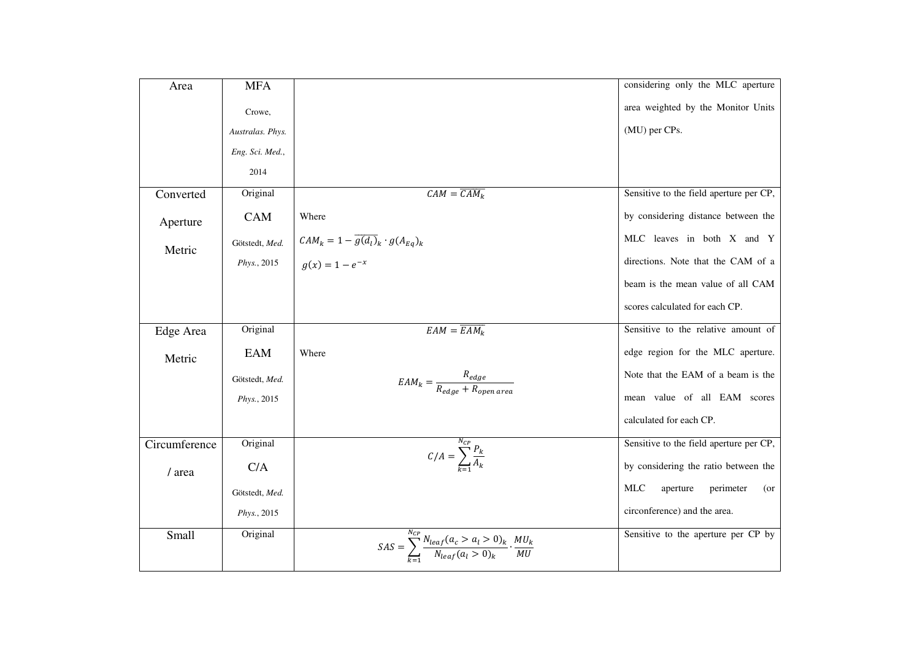| Area          | <b>MFA</b>       |                                                                                                       | considering only the MLC aperture          |
|---------------|------------------|-------------------------------------------------------------------------------------------------------|--------------------------------------------|
|               | Crowe,           |                                                                                                       | area weighted by the Monitor Units         |
|               | Australas. Phys. |                                                                                                       | (MU) per CPs.                              |
|               | Eng. Sci. Med.,  |                                                                                                       |                                            |
|               | 2014             |                                                                                                       |                                            |
| Converted     | Original         | $CAM = \overline{CAM_k}$                                                                              | Sensitive to the field aperture per CP,    |
| Aperture      | CAM              | Where                                                                                                 | by considering distance between the        |
| Metric        | Götstedt, Med.   | $CAM_k = 1 - \overline{g(d_l)}_k \cdot g(A_{Eq})_k$                                                   | MLC leaves in both X and Y                 |
|               | Phys., 2015      | $g(x) = 1 - e^{-x}$                                                                                   | directions. Note that the CAM of a         |
|               |                  |                                                                                                       | beam is the mean value of all CAM          |
|               |                  |                                                                                                       | scores calculated for each CP.             |
| Edge Area     | Original         | $EAM = \overline{EAM_k}$                                                                              | Sensitive to the relative amount of        |
| Metric        | EAM              | Where                                                                                                 | edge region for the MLC aperture.          |
|               | Götstedt, Med.   | $EAM_k = \frac{R_{edge}}{R_{edge} + R_{open\, area}}$                                                 | Note that the EAM of a beam is the         |
|               | Phys., 2015      |                                                                                                       | mean value of all EAM scores               |
|               |                  |                                                                                                       | calculated for each CP.                    |
| Circumference | Original         | $C/A = \sum_{k=1}^{N_{CP}} \frac{P_k}{A_k}$                                                           | Sensitive to the field aperture per CP,    |
| / area        | C/A              |                                                                                                       | by considering the ratio between the       |
|               | Götstedt, Med.   |                                                                                                       | <b>MLC</b><br>aperture<br>perimeter<br>(or |
|               | Phys., 2015      |                                                                                                       | circonference) and the area.               |
| <b>Small</b>  | Original         | $SAS = \sum_{i}^{N_{CP}} \frac{N_{leaf}(a_c > a_l > 0)_k}{N_{leaf}(a_l > 0)_k} \cdot \frac{MU_k}{MU}$ | Sensitive to the aperture per CP by        |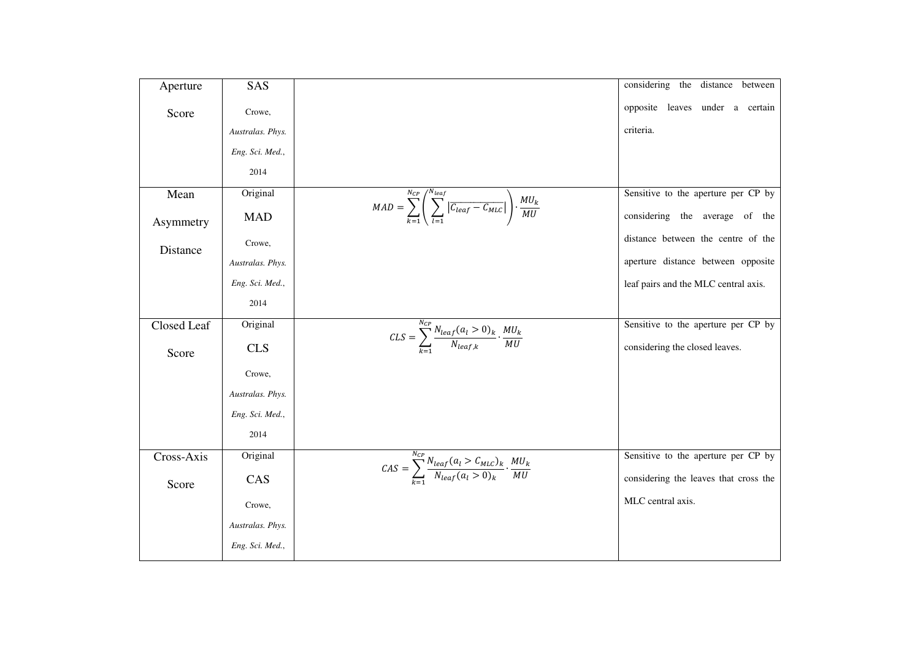| Aperture    | SAS              |                                                                                                                                                | considering the distance<br>between   |
|-------------|------------------|------------------------------------------------------------------------------------------------------------------------------------------------|---------------------------------------|
| Score       | Crowe,           |                                                                                                                                                | opposite leaves under a certain       |
|             | Australas. Phys. |                                                                                                                                                | criteria.                             |
|             | Eng. Sci. Med.,  |                                                                                                                                                |                                       |
|             | 2014             |                                                                                                                                                |                                       |
| Mean        | Original         |                                                                                                                                                | Sensitive to the aperture per CP by   |
| Asymmetry   | <b>MAD</b>       | $\overline{MAD} = \sum_{k=1}^{N_{CP}} \left( \sum_{l=1}^{N_{leaf}} \left  \overline{C_{leaf} - C_{MLC}} \right  \right) \cdot \frac{MU_k}{MU}$ | considering the average of the        |
| Distance    | Crowe,           |                                                                                                                                                | distance between the centre of the    |
|             | Australas. Phys. |                                                                                                                                                | aperture distance between opposite    |
|             | Eng. Sci. Med.,  |                                                                                                                                                | leaf pairs and the MLC central axis.  |
|             | 2014             |                                                                                                                                                |                                       |
| Closed Leaf | Original         | $\mathit{CLS} = \sum_{l=1}^{N_{\mathit{CP}}} \frac{N_{\mathit{leaf}}(a_l>0)_k}{N_{\mathit{leaf},k}} \cdot \frac{M U_k}{M U}$                   | Sensitive to the aperture per CP by   |
| Score       | <b>CLS</b>       |                                                                                                                                                | considering the closed leaves.        |
|             | Crowe,           |                                                                                                                                                |                                       |
|             | Australas. Phys. |                                                                                                                                                |                                       |
|             | Eng. Sci. Med.,  |                                                                                                                                                |                                       |
|             | 2014             |                                                                                                                                                |                                       |
| Cross-Axis  | Original         | $\mathit{CAS} = \sum_{n=1}^{N_{CP}} \frac{N_{leaf}(a_l > C_{MLC})_k}{N_{leaf}(a_l > 0)_k} \cdot \frac{MU_k}{MU}$                               | Sensitive to the aperture per CP by   |
| Score       | CAS              |                                                                                                                                                | considering the leaves that cross the |
|             | Crowe,           |                                                                                                                                                | MLC central axis.                     |
|             | Australas. Phys. |                                                                                                                                                |                                       |
|             | Eng. Sci. Med.,  |                                                                                                                                                |                                       |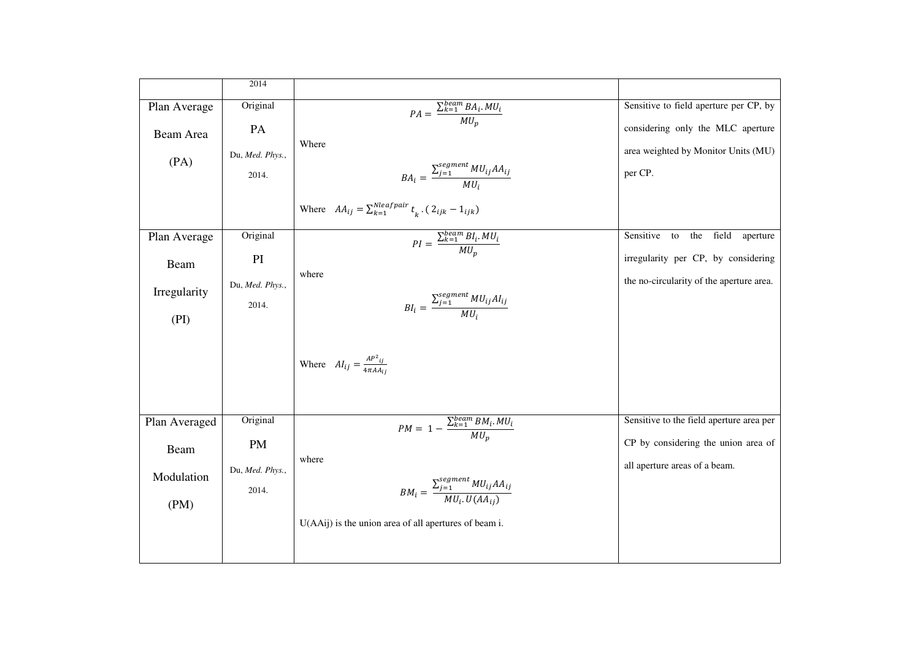|                                              | 2014                                              |                                                                                                                                                                                                          |                                                                                                                                |
|----------------------------------------------|---------------------------------------------------|----------------------------------------------------------------------------------------------------------------------------------------------------------------------------------------------------------|--------------------------------------------------------------------------------------------------------------------------------|
| Plan Average<br>Beam Area<br>(PA)            | Original<br>PA<br>Du, Med. Phys.,<br>2014.        | $PA = \frac{\sum_{k=1}^{beam} BA_i \cdot MU_i}{MU_{r}}$<br>Where<br>$BA_i = \frac{\sum_{j=1}^{segment} MU_{ij}AA_{ij}}{MIL}$<br>Where $AA_{ij} = \sum_{k=1}^{Nleafpair} t_k \cdot (2_{ijk} - 1_{ijk})$   | Sensitive to field aperture per CP, by<br>considering only the MLC aperture<br>area weighted by Monitor Units (MU)<br>per CP.  |
| Plan Average<br>Beam<br>Irregularity<br>(PI) | Original<br>PI<br>Du, Med. Phys.,<br>2014.        | $PI = \frac{\sum_{k=1}^{beam} BI_i \cdot MU_i}{MU_n}$<br>where<br>$BI_i = \frac{\sum_{j=1}^{segment} MU_{ij} Al_{ij}}{MII}$<br>Where $AI_{ij} = \frac{AP^2_{ij}}{4\pi AA_{ij}}$                          | field<br>Sensitive<br>the<br>to<br>aperture<br>irregularity per CP, by considering<br>the no-circularity of the aperture area. |
| Plan Averaged<br>Beam<br>Modulation<br>(PM)  | Original<br><b>PM</b><br>Du, Med. Phys.,<br>2014. | $PM = 1 - \frac{\sum_{k=1}^{beam} BM_i \cdot MU_i}{MU_n}$<br>where<br>$BM_i = \frac{\sum_{j=1}^{segment} MU_{ij}AA_{ij}}{MIL \; II(AA \ldots)}$<br>U(AAij) is the union area of all apertures of beam i. | Sensitive to the field aperture area per<br>CP by considering the union area of<br>all aperture areas of a beam.               |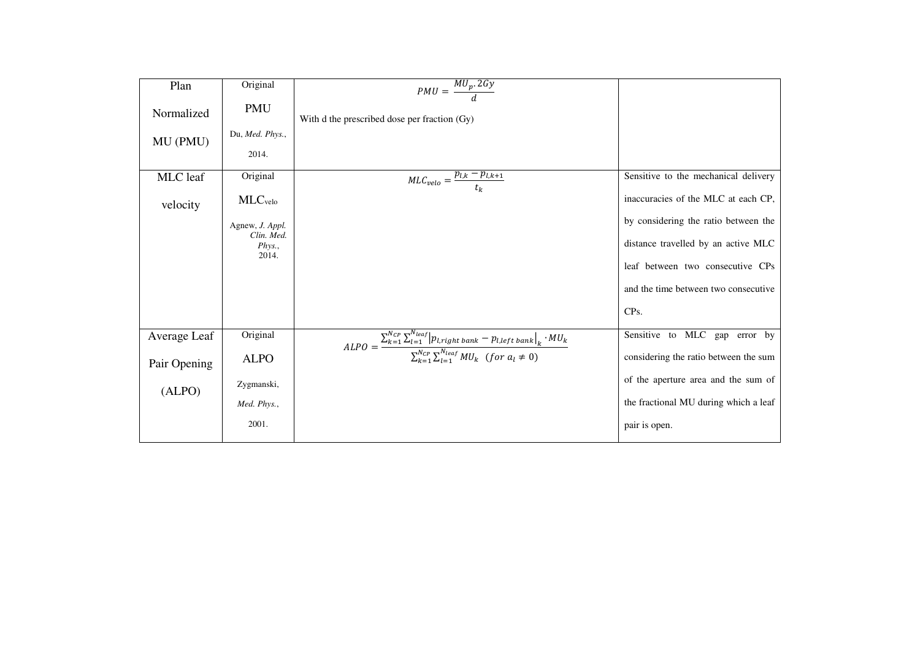| Plan         | Original                      | $PMU = \frac{MU_p \cdot \overline{2Gy}}{1}$                                                                                                                                                         |                                       |
|--------------|-------------------------------|-----------------------------------------------------------------------------------------------------------------------------------------------------------------------------------------------------|---------------------------------------|
| Normalized   | <b>PMU</b>                    | With d the prescribed dose per fraction (Gy)                                                                                                                                                        |                                       |
| MU (PMU)     | Du, Med. Phys.,               |                                                                                                                                                                                                     |                                       |
|              | 2014.                         |                                                                                                                                                                                                     |                                       |
| MLC leaf     | Original                      | $MLC_{velo} = \frac{p_{l,k} - p_{l,k+1}}{t_h}$                                                                                                                                                      | Sensitive to the mechanical delivery  |
| velocity     | $MLC$ <sub>velo</sub>         |                                                                                                                                                                                                     | inaccuracies of the MLC at each CP,   |
|              | Agnew, J. Appl.               |                                                                                                                                                                                                     | by considering the ratio between the  |
|              | Clin. Med.<br>Phys.,<br>2014. |                                                                                                                                                                                                     | distance travelled by an active MLC   |
|              |                               |                                                                                                                                                                                                     | leaf between two consecutive CPs      |
|              |                               |                                                                                                                                                                                                     | and the time between two consecutive  |
|              |                               |                                                                                                                                                                                                     | CP <sub>s</sub> .                     |
| Average Leaf | Original                      | $\overline{ALPO} = \frac{\sum_{k=1}^{N_{CP}}\sum_{l=1}^{N_{leaf}} p_{l,right\,bank}-p_{l,left\,bank\right _k} \cdot MU_k}{\sum_{k=1}^{N_{CP}}\sum_{l=1}^{N_{leaf}} MU_k \text{ (for } a_l \neq 0)}$ | Sensitive to MLC gap error by         |
| Pair Opening | <b>ALPO</b>                   |                                                                                                                                                                                                     | considering the ratio between the sum |
| (ALPO)       | Zygmanski,                    |                                                                                                                                                                                                     | of the aperture area and the sum of   |
|              | Med. Phys.,                   |                                                                                                                                                                                                     | the fractional MU during which a leaf |
|              | 2001.                         |                                                                                                                                                                                                     | pair is open.                         |
|              |                               |                                                                                                                                                                                                     |                                       |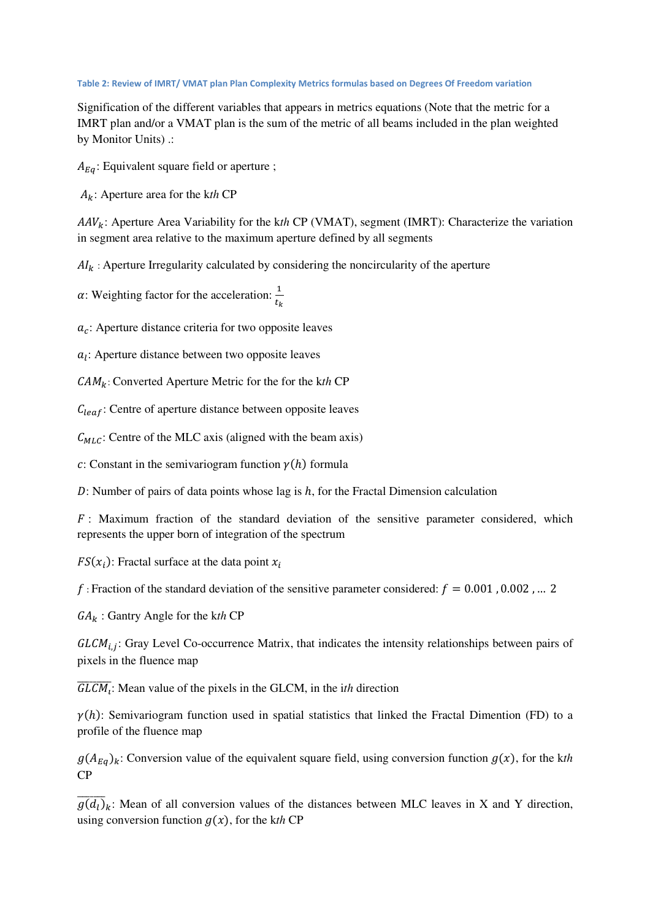#### **Table 2: Review of IMRT/ VMAT plan Plan Complexity Metrics formulas based on Degrees Of Freedom variation**

Signification of the different variables that appears in metrics equations (Note that the metric for a IMRT plan and/or a VMAT plan is the sum of the metric of all beams included in the plan weighted by Monitor Units) .:

 $A_{Eq}$ : Equivalent square field or aperture ;

 $A_k$ : Aperture area for the kth CP

 $AAV_k$ : Aperture Area Variability for the kth CP (VMAT), segment (IMRT): Characterize the variation in segment area relative to the maximum aperture defined by all segments

 $AI_k$ : Aperture Irregularity calculated by considering the noncircularity of the aperture

 $\alpha$ : Weighting factor for the acceleration:  $\frac{1}{t_k}$ 

 $a_c$ : Aperture distance criteria for two opposite leaves

 $a_l$ : Aperture distance between two opposite leaves

 $CAM_k$ : Converted Aperture Metric for the for the kth CP

 $C_{leaf}$ : Centre of aperture distance between opposite leaves

 $C_{MLC}$ : Centre of the MLC axis (aligned with the beam axis)

c: Constant in the semivariogram function  $\gamma(h)$  formula

D: Number of pairs of data points whose lag is  $h$ , for the Fractal Dimension calculation

 $F$ : Maximum fraction of the standard deviation of the sensitive parameter considered, which represents the upper born of integration of the spectrum

 $FS(x_i)$ : Fractal surface at the data point  $x_i$ 

f: Fraction of the standard deviation of the sensitive parameter considered:  $f = 0.001$ , 0.002, ... 2

 $GA_k$ : Gantry Angle for the kth CP

 $GLCM_{i,j}$ : Gray Level Co-occurrence Matrix, that indicates the intensity relationships between pairs of pixels in the fluence map

 $GLCM<sub>i</sub>$ : Mean value of the pixels in the GLCM, in the *ith* direction

 $\gamma(h)$ : Semivariogram function used in spatial statistics that linked the Fractal Dimention (FD) to a profile of the fluence map

 $g(A_{Eq})_k$ : Conversion value of the equivalent square field, using conversion function  $g(x)$ , for the kth  $CP$ 

 $g(d_l)_k$ : Mean of all conversion values of the distances between MLC leaves in X and Y direction, using conversion function  $g(x)$ , for the kth CP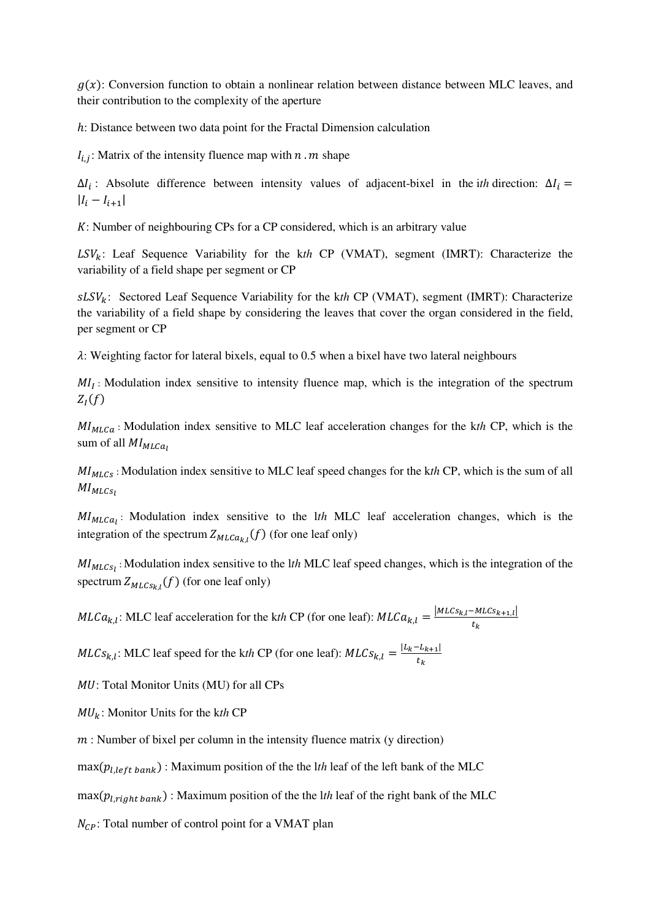$g(x)$ : Conversion function to obtain a nonlinear relation between distance between MLC leaves, and their contribution to the complexity of the aperture

ℎ: Distance between two data point for the Fractal Dimension calculation

 $I_{i,j}$ : Matrix of the intensity fluence map with  $n \cdot m$  shape

 $\Delta I_i$ : Absolute difference between intensity values of adjacent-bixel in the *ith* direction:  $\Delta I_i$  =  $|I_i - I_{i+1}|$ 

ö: Number of neighbouring CPs for a CP considered, which is an arbitrary value

 $LSV_k$ : Leaf Sequence Variability for the kth CP (VMAT), segment (IMRT): Characterize the variability of a field shape per segment or CP

 $SLSV_k$ : Sectored Leaf Sequence Variability for the kth CP (VMAT), segment (IMRT): Characterize the variability of a field shape by considering the leaves that cover the organ considered in the field, per segment or CP

 $\lambda$ : Weighting factor for lateral bixels, equal to 0.5 when a bixel have two lateral neighbours

 $MI_I$ : Modulation index sensitive to intensity fluence map, which is the integration of the spectrum  $Z_I(f)$ 

 $MI_{MLCa}$ : Modulation index sensitive to MLC leaf acceleration changes for the kth CP, which is the sum of all  $MI_{MLCa}$ 

MI<sub>MLCs</sub>: Modulation index sensitive to MLC leaf speed changes for the kth CP, which is the sum of all  $M$ I $_{MLCs}$ 

 $MI_{MLCa_1}$ : Modulation index sensitive to the lth MLC leaf acceleration changes, which is the integration of the spectrum  $Z_{MLCa_{k,l}}(f)$  (for one leaf only)

 $MI_{MLCs}$ : Modulation index sensitive to the *lth* MLC leaf speed changes, which is the integration of the spectrum  $Z_{MLCs_{k,l}}(f)$  (for one leaf only)

 $MLCa_{k,l}$ : MLC leaf acceleration for the kth CP (for one leaf):  $MLCa_{k,l} = \frac{|MLCs_{k,l}-MLCs_{k+1,l}|}{t_k}$  $t_k$ 

 $MLCs_{k,l}$ : MLC leaf speed for the kth CP (for one leaf):  $MLCs_{k,l} = \frac{|L_k - L_{k+1}|}{t_k}$  $t_k$ 

MU: Total Monitor Units (MU) for all CPs

 $MU_k$ : Monitor Units for the kth CP

 $m$ : Number of bixel per column in the intensity fluence matrix (y direction)

 $max(p_{l, left\ bank})$ : Maximum position of the the lth leaf of the left bank of the MLC

 $max(p_{Lriath\,bank})$ : Maximum position of the the lth leaf of the right bank of the MLC

 $N_{CP}$ : Total number of control point for a VMAT plan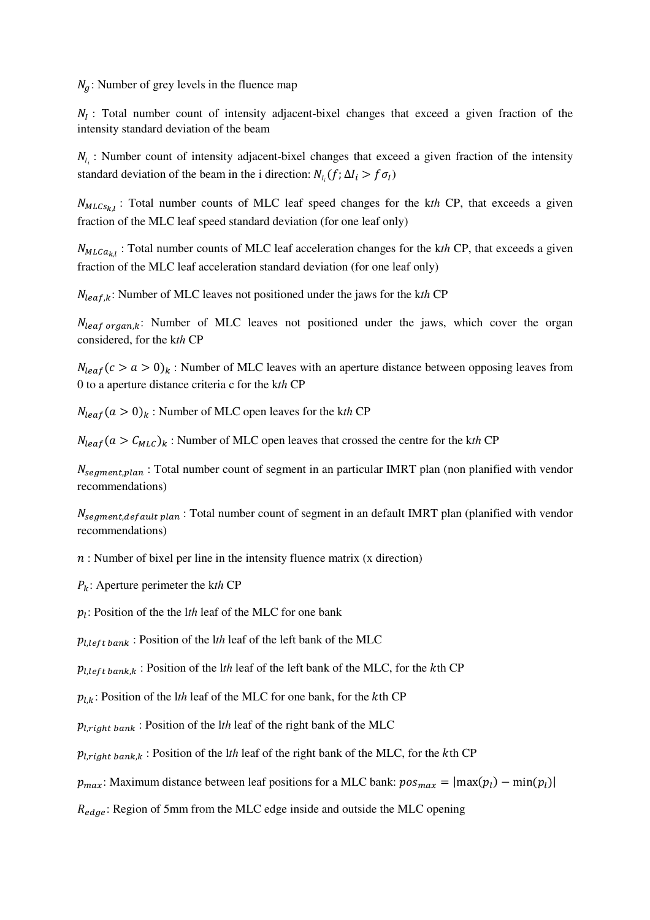$N_a$ : Number of grey levels in the fluence map

 $N_I$ : Total number count of intensity adjacent-bixel changes that exceed a given fraction of the intensity standard deviation of the beam

 $N_{I_i}$ : Number count of intensity adjacent-bixel changes that exceed a given fraction of the intensity standard deviation of the beam in the i direction:  $N_{I_i}(f; \Delta I_i > f \sigma_I)$ 

 $N_{MLCs_{k,l}}$ : Total number counts of MLC leaf speed changes for the kth CP, that exceeds a given fraction of the MLC leaf speed standard deviation (for one leaf only)

 $N_{MLCa_{k,l}}$ : Total number counts of MLC leaf acceleration changes for the kth CP, that exceeds a given fraction of the MLC leaf acceleration standard deviation (for one leaf only)

 $N_{leaf,k}$ : Number of MLC leaves not positioned under the jaws for the kth CP

 $N_{leaf\,organ,k}$ : Number of MLC leaves not positioned under the jaws, which cover the organ considered, for the k*th* CP

 $N_{leaf}(c > a > 0)_k$ : Number of MLC leaves with an aperture distance between opposing leaves from 0 to a aperture distance criteria c for the k*th* CP

 $N_{leaf}(a > 0)_k$ : Number of MLC open leaves for the kth CP

 $N_{leaf}(a > C_{MLC})_k$ : Number of MLC open leaves that crossed the centre for the kth CP

 $N_{seament,plan}$ : Total number count of segment in an particular IMRT plan (non planified with vendor recommendations)

 $N_{segment, default\ plan}$ : Total number count of segment in an default IMRT plan (planified with vendor recommendations)

 $n:$  Number of bixel per line in the intensity fluence matrix (x direction)

 $P_k$ : Aperture perimeter the kth CP

 $p_l$ : Position of the the lth leaf of the MLC for one bank

 $p_{\text{l.left bank}}$ : Position of the lth leaf of the left bank of the MLC

 $p_{\text{l.left bank.k}}$ : Position of the lth leaf of the left bank of the MLC, for the kth CP

 $p_{1k}$ : Position of the lth leaf of the MLC for one bank, for the kth CP

 $p_{l, right bank}$ : Position of the lth leaf of the right bank of the MLC

 $p_{Lriath bank, k}$ : Position of the lth leaf of the right bank of the MLC, for the kth CP

 $p_{max}$ : Maximum distance between leaf positions for a MLC bank:  $pos_{max} = |max(p_l) - min(p_l)|$ 

 $R_{\text{edge}}$ : Region of 5mm from the MLC edge inside and outside the MLC opening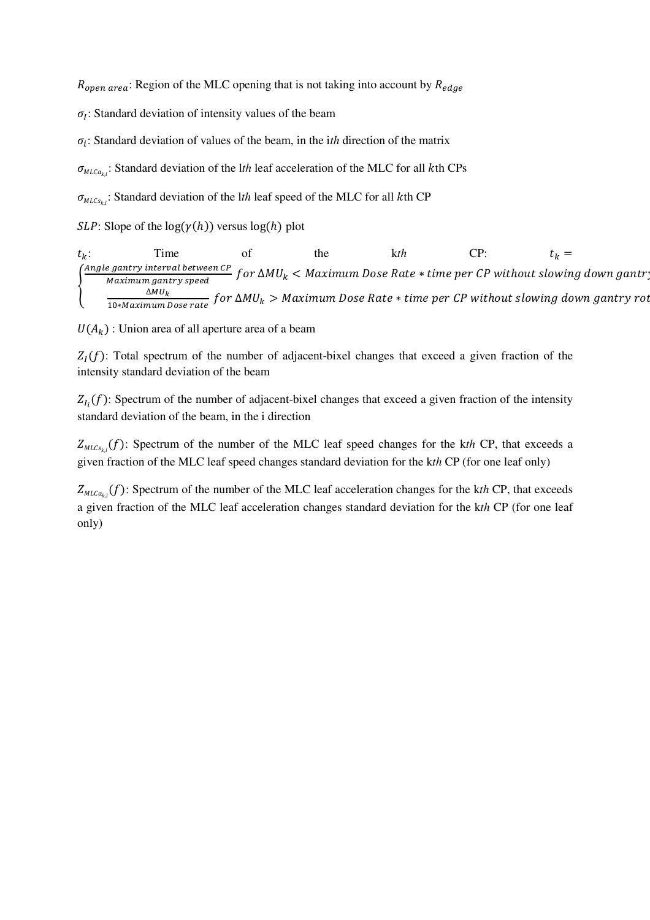$R_{open~area}$ : Region of the MLC opening that is not taking into account by  $R_{edae}$ 

 $\sigma_l$ : Standard deviation of intensity values of the beam

 $\sigma_i$ : Standard deviation of values of the beam, in the *ith* direction of the matrix

 $\sigma_{MLCa_{k,l}}$ : Standard deviation of the lth leaf acceleration of the MLC for all kth CPs

 $\sigma_{MLCs_{k,l}}$ : Standard deviation of the lth leaf speed of the MLC for all kth CP

 $SLP$ : Slope of the log( $\gamma(h)$ ) versus log(h) plot

 $t_k$ : Time of the k*th* CP:  $t_k =$  $\left\{ \right.$  $\frac{Angle\ gantry\ interval\ between\ CP}{Maximum\ gantry\ speed}$  for  $\Delta MU_k < Maximum\ Does\ Rate\ *\ time\ per\ CP\ without\ slowing\ down\ gantry\$  $\frac{\Delta MU_{k}}{10*Maximum\,Dose\,rate}$  for  $\Delta MU_{k} > Maximum\,Dose\,Rate * time\,per\,CP$  without slowing down gantry rot

 $U(A_k)$ : Union area of all aperture area of a beam

 $Z_I(f)$ : Total spectrum of the number of adjacent-bixel changes that exceed a given fraction of the intensity standard deviation of the beam

 $Z_{I_i}(f)$ : Spectrum of the number of adjacent-bixel changes that exceed a given fraction of the intensity standard deviation of the beam, in the i direction

 $Z_{MLCs_{k,l}}(f)$ : Spectrum of the number of the MLC leaf speed changes for the kth CP, that exceeds a given fraction of the MLC leaf speed changes standard deviation for the k*th* CP (for one leaf only)

 $Z_{MLCa_{k,l}}(f)$ : Spectrum of the number of the MLC leaf acceleration changes for the kth CP, that exceeds a given fraction of the MLC leaf acceleration changes standard deviation for the k*th* CP (for one leaf only)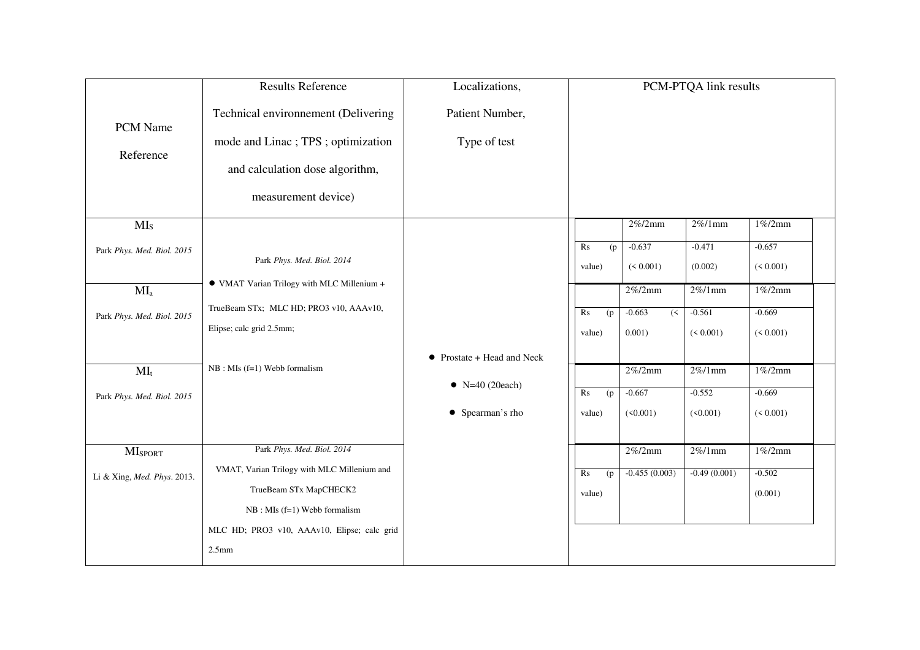|                             | <b>Results Reference</b>                    | Localizations,             |                       |                     | PCM-PTQA link results |             |
|-----------------------------|---------------------------------------------|----------------------------|-----------------------|---------------------|-----------------------|-------------|
| PCM Name                    | Technical environmement (Delivering         | Patient Number,            |                       |                     |                       |             |
|                             | mode and Linac; TPS; optimization           | Type of test               |                       |                     |                       |             |
| Reference                   | and calculation dose algorithm,             |                            |                       |                     |                       |             |
|                             | measurement device)                         |                            |                       |                     |                       |             |
| MI <sub>S</sub>             |                                             |                            |                       | $2\%/2$ mm          | $2\%/1$ mm            | $1\%/2mm$   |
| Park Phys. Med. Biol. 2015  |                                             |                            | Rs<br>(p)             | $-0.637$            | $-0.471$              | $-0.657$    |
|                             | Park Phys. Med. Biol. 2014                  |                            | value)                | (< 0.001)           | (0.002)               | (< 0.001)   |
| $MI_a$                      | • VMAT Varian Trilogy with MLC Millenium +  |                            |                       | $2\%/2$ mm          | $2\%/1$ mm            | $1\%/2mm$   |
| Park Phys. Med. Biol. 2015  | TrueBeam STx; MLC HD; PRO3 v10, AAAv10,     |                            | R <sub>S</sub><br>(p) | $-0.663$<br>$(\leq$ | $-0.561$              | $-0.669$    |
|                             | Elipse; calc grid 2.5mm;                    |                            | value)                | 0.001)              | (< 0.001)             | (< 0.001)   |
|                             |                                             | • Prostate + Head and Neck |                       |                     |                       |             |
| $MI_t$                      | $NB: MIs (f=1)$ Webb formalism              | $\bullet$ N=40 (20each)    |                       | $2\%/2$ mm          | $2\%/1$ mm            | $1\% / 2mm$ |
| Park Phys. Med. Biol. 2015  |                                             |                            | Rs<br>(p)             | $-0.667$            | $-0.552$              | $-0.669$    |
|                             |                                             | • Spearman's rho           | value)                | (50.001)            | (50.001)              | (< 0.001)   |
|                             | Park Phys. Med. Biol. 2014                  |                            |                       | $2\%/2$ mm          | $2\%/1$ mm            | $1\%/2mm$   |
| <b>MI</b> <sub>SPORT</sub>  | VMAT, Varian Trilogy with MLC Millenium and |                            |                       |                     |                       |             |
| Li & Xing, Med. Phys. 2013. | TrueBeam STx MapCHECK2                      |                            | Rs<br>(p)             | $-0.455(0.003)$     | $-0.49(0.001)$        | $-0.502$    |
|                             | $NB: MIs (f=1)$ Webb formalism              |                            | value)                |                     |                       | (0.001)     |
|                             | MLC HD; PRO3 v10, AAAv10, Elipse; calc grid |                            |                       |                     |                       |             |
|                             | 2.5 <sub>mm</sub>                           |                            |                       |                     |                       |             |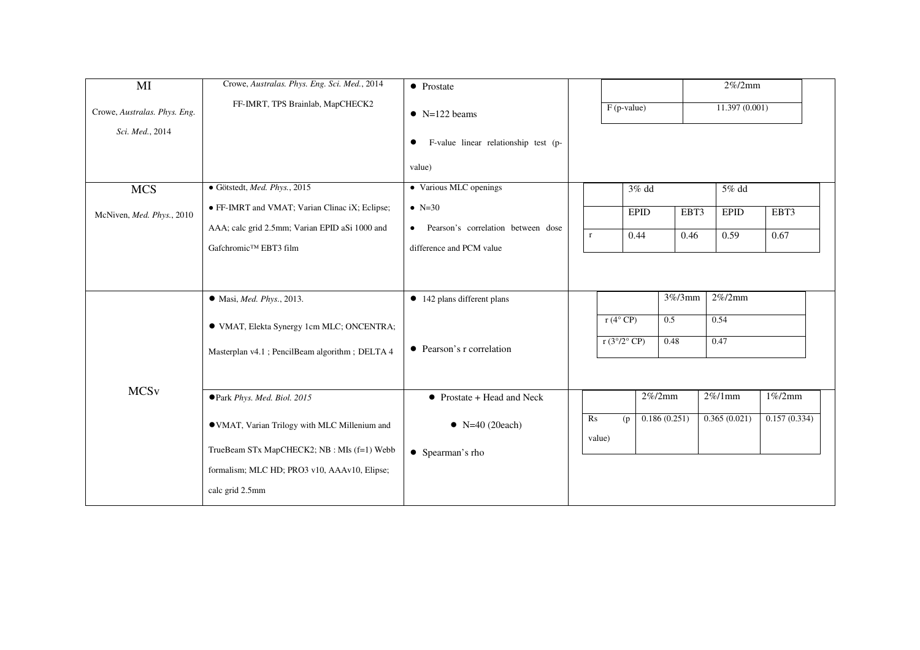| MI                           | Crowe, Australas. Phys. Eng. Sci. Med., 2014   | • Prostate                           |                          |                                         |                     |               | $2\%/2$ mm   |              |
|------------------------------|------------------------------------------------|--------------------------------------|--------------------------|-----------------------------------------|---------------------|---------------|--------------|--------------|
| Crowe, Australas. Phys. Eng. | FF-IMRT, TPS Brainlab, MapCHECK2               | $\bullet$ N=122 beams                |                          | $F$ (p-value)                           |                     | 11.397(0.001) |              |              |
| Sci. Med., 2014              |                                                | F-value linear relationship test (p- |                          |                                         |                     |               |              |              |
|                              |                                                | value)                               |                          |                                         |                     |               |              |              |
| <b>MCS</b>                   | · Götstedt, Med. Phys., 2015                   | • Various MLC openings               |                          |                                         | $3%$ dd             |               | 5% dd        |              |
| McNiven, Med. Phys., 2010    | • FF-IMRT and VMAT; Varian Clinac iX; Eclipse; | $\bullet$ N=30                       |                          |                                         | <b>EPID</b>         | EBT3          | <b>EPID</b>  | EBT3         |
|                              | AAA; calc grid 2.5mm; Varian EPID aSi 1000 and | • Pearson's correlation between dose | $\mathbf r$              |                                         | 0.44                | 0.46          | 0.59         | 0.67         |
|                              | Gafchromic™ EBT3 film                          | difference and PCM value             |                          |                                         |                     |               |              |              |
|                              |                                                |                                      |                          |                                         |                     |               |              |              |
|                              | $\bullet$ Masi, Med. Phys., 2013.              | • 142 plans different plans          |                          |                                         |                     | $3\%/3$ mm    | $2\%/2$ mm   |              |
|                              | · VMAT, Elekta Synergy 1cm MLC; ONCENTRA;      |                                      |                          | r (4 $\degree$ CP)                      |                     | 0.5           | 0.54         |              |
|                              | Masterplan v4.1; PencilBeam algorithm; DELTA 4 | • Pearson's r correlation            |                          | r (3 $\degree$ /2 $\degree$ CP)<br>0.48 |                     | 0.47          |              |              |
|                              |                                                |                                      |                          |                                         |                     |               |              |              |
| <b>MCS</b> v                 | Park Phys. Med. Biol. 2015                     | • Prostate + Head and Neck           |                          |                                         | $2\%/2$ mm          |               | $2\%/1$ mm   | $1\%/2mm$    |
|                              | . VMAT, Varian Trilogy with MLC Millenium and  | $\bullet$ N=40 (20each)              | $\mathbf{R}$ s<br>value) |                                         | 0.186(0.251)<br>(p) |               | 0.365(0.021) | 0.157(0.334) |
|                              | TrueBeam STx MapCHECK2; NB : MIs (f=1) Webb    | • Spearman's rho                     |                          |                                         |                     |               |              |              |
|                              | formalism; MLC HD; PRO3 v10, AAAv10, Elipse;   |                                      |                          |                                         |                     |               |              |              |
|                              | calc grid 2.5mm                                |                                      |                          |                                         |                     |               |              |              |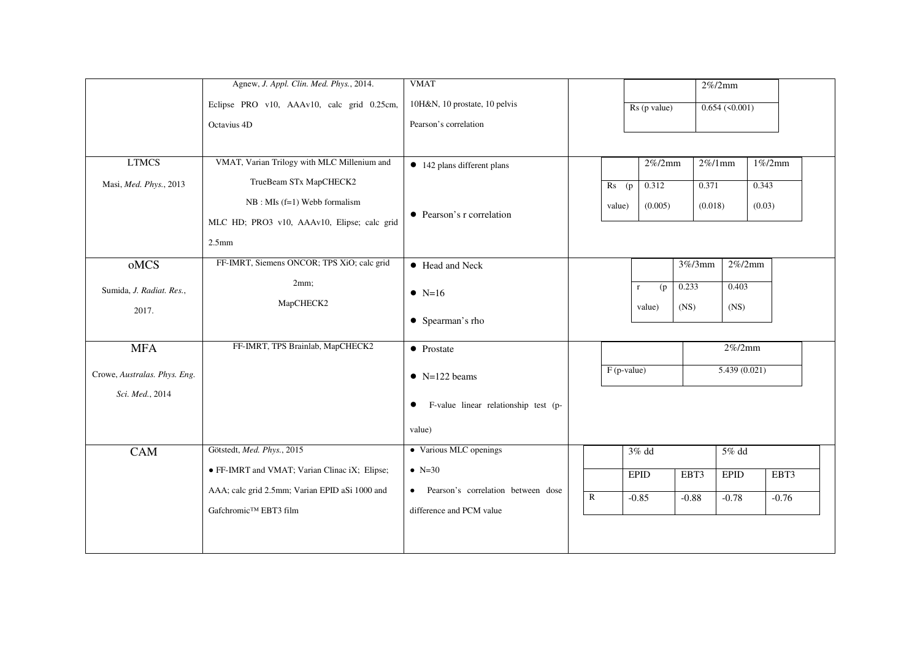|                              | Agnew, J. Appl. Clin. Med. Phys., 2014.        | <b>VMAT</b>                          |                               |         |                                      |            | $2\%/2$ mm    |           |
|------------------------------|------------------------------------------------|--------------------------------------|-------------------------------|---------|--------------------------------------|------------|---------------|-----------|
|                              | Eclipse PRO v10, AAAv10, calc grid 0.25cm,     | 10H&N, 10 prostate, 10 pelvis        |                               |         | Rs (p value)                         |            | 0.654(50.001) |           |
|                              | Octavius 4D                                    | Pearson's correlation                |                               |         |                                      |            |               |           |
|                              |                                                |                                      |                               |         |                                      |            |               |           |
| <b>LTMCS</b>                 | VMAT, Varian Trilogy with MLC Millenium and    | • 142 plans different plans          |                               |         | $2\%/2$ mm                           | $2\%/1$ mm |               | $1\%/2mm$ |
| Masi, Med. Phys., 2013       | TrueBeam STx MapCHECK2                         |                                      |                               | $Rs$ (p | 0.312<br>0.371<br>(0.005)<br>(0.018) |            |               | 0.343     |
|                              | NB : MIs (f=1) Webb formalism                  |                                      |                               | value)  |                                      |            |               | (0.03)    |
|                              | MLC HD; PRO3 v10, AAAv10, Elipse; calc grid    | • Pearson's r correlation            |                               |         |                                      |            |               |           |
|                              | 2.5 <sub>mm</sub>                              |                                      |                               |         |                                      |            |               |           |
| oMCS                         | FF-IMRT, Siemens ONCOR; TPS XiO; calc grid     | • Head and Neck                      |                               |         |                                      | 3%/3mm     | $2\%/2$ mm    |           |
| Sumida, J. Radiat. Res.,     | 2mm;                                           | $\bullet$ N=16                       |                               |         | (p<br>$\mathbf r$                    | 0.233      | 0.403         |           |
| 2017.                        | MapCHECK2                                      |                                      |                               |         | value)                               | (NS)       | (NS)          |           |
|                              |                                                | • Spearman's rho                     |                               |         |                                      |            |               |           |
| <b>MFA</b>                   | FF-IMRT, TPS Brainlab, MapCHECK2               | • Prostate                           |                               |         |                                      |            | $2\%/2$ mm    |           |
|                              |                                                |                                      | $F$ (p-value)<br>5.439(0.021) |         |                                      |            |               |           |
| Crowe, Australas. Phys. Eng. |                                                | $\bullet$ N=122 beams                |                               |         |                                      |            |               |           |
| Sci. Med., 2014              |                                                | F-value linear relationship test (p- |                               |         |                                      |            |               |           |
|                              |                                                | value)                               |                               |         |                                      |            |               |           |
|                              |                                                |                                      |                               |         |                                      |            |               |           |
| <b>CAM</b>                   | Götstedt, Med. Phys., 2015                     | • Various MLC openings               |                               |         | 3% dd                                |            | 5% dd         |           |
|                              | • FF-IMRT and VMAT; Varian Clinac iX; Elipse;  | • $N=30$                             |                               |         | <b>EPID</b>                          | EBT3       | <b>EPID</b>   | EBT3      |
|                              | AAA; calc grid 2.5mm; Varian EPID aSi 1000 and | • Pearson's correlation between dose | $\mathbb{R}$                  |         | $-0.85$                              | $-0.88$    | $-0.78$       | $-0.76$   |
|                              | Gafchromic™ EBT3 film                          | difference and PCM value             |                               |         |                                      |            |               |           |
|                              |                                                |                                      |                               |         |                                      |            |               |           |
|                              |                                                |                                      |                               |         |                                      |            |               |           |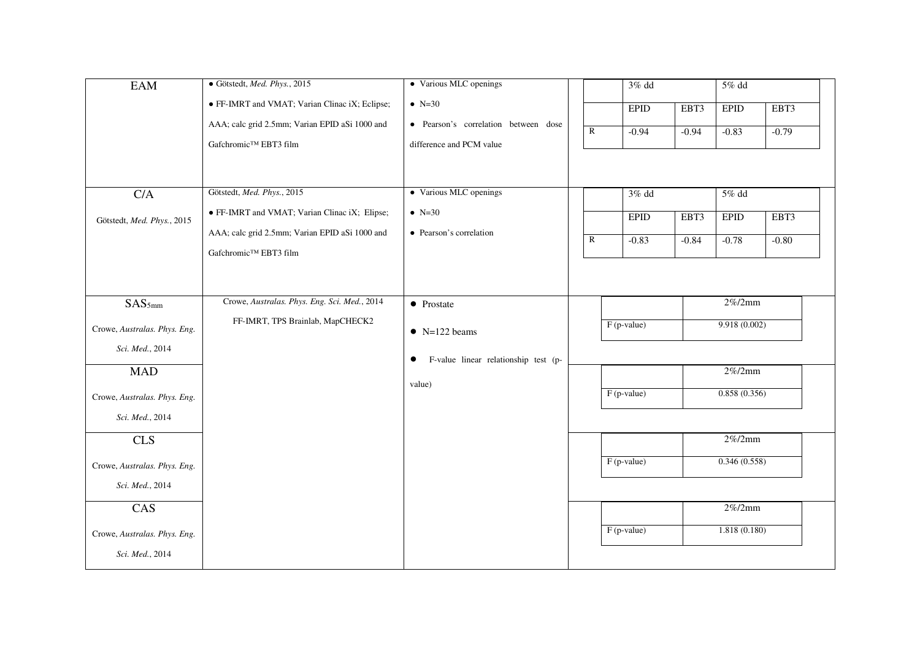| EAM                          | · Götstedt, Med. Phys., 2015                   | • Various MLC openings                            | $3\%$ dd                      |               |         | $5\%$ dd     |         |
|------------------------------|------------------------------------------------|---------------------------------------------------|-------------------------------|---------------|---------|--------------|---------|
|                              | • FF-IMRT and VMAT; Varian Clinac iX; Eclipse; | $\bullet$ N=30                                    |                               | <b>EPID</b>   | EBT3    | <b>EPID</b>  | EBT3    |
|                              | AAA; calc grid 2.5mm; Varian EPID aSi 1000 and | · Pearson's correlation between dose              | $\mathbb{R}$                  | $-0.94$       | $-0.94$ | $-0.83$      | $-0.79$ |
|                              | Gafchromic™ EBT3 film                          | difference and PCM value                          |                               |               |         |              |         |
|                              |                                                |                                                   |                               |               |         |              |         |
| C/A                          | Götstedt, Med. Phys., 2015                     | • Various MLC openings                            |                               | $3%$ dd       |         | 5% dd        |         |
| Götstedt, Med. Phys., 2015   | • FF-IMRT and VMAT; Varian Clinac iX; Elipse;  | $\bullet$ N=30                                    |                               | <b>EPID</b>   | EBT3    | <b>EPID</b>  | EBT3    |
|                              | AAA; calc grid 2.5mm; Varian EPID aSi 1000 and | • Pearson's correlation                           | ${\bf R}$                     | $-0.83$       | $-0.84$ | $-0.78$      | $-0.80$ |
|                              | Gafchromic™ EBT3 film                          |                                                   |                               |               |         |              |         |
|                              |                                                |                                                   |                               |               |         |              |         |
|                              | Crowe, Australas. Phys. Eng. Sci. Med., 2014   |                                                   |                               |               |         | $2\%/2$ mm   |         |
| SAS <sub>5mm</sub>           | FF-IMRT, TPS Brainlab, MapCHECK2               | • Prostate                                        | 9.918(0.002)<br>$F$ (p-value) |               |         |              |         |
| Crowe, Australas. Phys. Eng. |                                                | $\bullet$ N=122 beams                             |                               |               |         |              |         |
| Sci. Med., 2014              |                                                | F-value linear relationship test (p-<br>$\bullet$ |                               |               |         |              |         |
| <b>MAD</b>                   |                                                |                                                   |                               |               |         | $2\%/2$ mm   |         |
| Crowe, Australas. Phys. Eng. |                                                | value)                                            | $F$ (p-value)                 |               |         | 0.858(0.356) |         |
| Sci. Med., 2014              |                                                |                                                   |                               |               |         |              |         |
| <b>CLS</b>                   |                                                |                                                   |                               |               |         | $2\%/2$ mm   |         |
|                              |                                                |                                                   |                               | $F$ (p-value) |         | 0.346(0.558) |         |
| Crowe, Australas. Phys. Eng. |                                                |                                                   |                               |               |         |              |         |
| Sci. Med., 2014              |                                                |                                                   |                               |               |         |              |         |
| CAS                          |                                                |                                                   |                               |               |         | $2\%/2$ mm   |         |
| Crowe, Australas. Phys. Eng. |                                                |                                                   |                               | $F(p-value)$  |         | 1.818(0.180) |         |
| Sci. Med., 2014              |                                                |                                                   |                               |               |         |              |         |